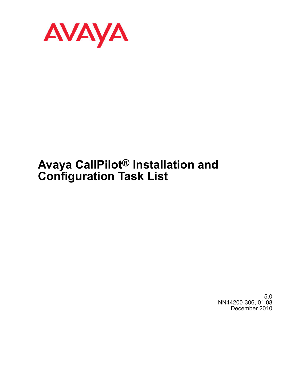

# **Avaya CallPilot® Installation and Configuration Task List**

5.0 NN44200-306, 01.08 December 2010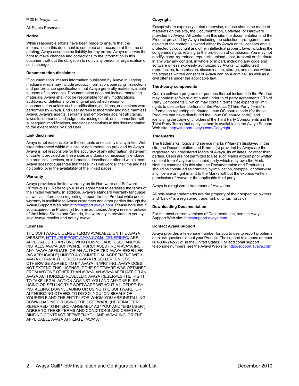All Rights Reserved.

#### **Notice**

While reasonable efforts have been made to ensure that the information in this document is complete and accurate at the time of printing, Avaya assumes no liability for any errors. Avaya reserves the right to make changes and corrections to the information in this document without the obligation to notify any person or organization of such changes.

#### **Documentation disclaimer**

"Documentation" means information published by Avaya in varying mediums which may include product information, operating instructions and performance specifications that Avaya generally makes available to users of its products. Documentation does not include marketing materials. Avaya shall not be responsible for any modifications, additions, or deletions to the original published version of documentation unless such modifications, additions, or deletions were performed by Avaya. End User agrees to indemnify and hold harmless Avaya, Avaya's agents, servants and employees against all claims, lawsuits, demands and judgments arising out of, or in connection with, subsequent modifications, additions or deletions to this documentation, to the extent made by End User.

#### **Link disclaimer**

Avaya is not responsible for the contents or reliability of any linked Web sites referenced within this site or documentation provided by Avaya. Avaya is not responsible for the accuracy of any information, statement or content provided on these sites and does not necessarily endorse the products, services, or information described or offered within them. Avaya does not guarantee that these links will work all the time and has no control over the availability of the linked pages.

#### **Warranty**

Avaya provides a limited warranty on its Hardware and Software ("Product(s)"). Refer to your sales agreement to establish the terms of the limited warranty. In addition, Avaya's standard warranty language, as well as information regarding support for this Product while under warranty is available to Avaya customers and other parties through the Avaya Support Web site: [http://support.avaya.com.](http://support.avaya.com) Please note that if you acquired the Product(s) from an authorized Avaya reseller outside of the United States and Canada, the warranty is provided to you by said Avaya reseller and not by Avaya.

#### **Licenses**

THE SOFTWARE LICENSE TERMS AVAILABLE ON THE AVAYA WEBSITE, [HTTP://SUPPORT.AVAYA.COM/LICENSEINFO/](http://www.avaya.com/support/LicenseInfo) ARE APPLICABLE TO ANYONE WHO DOWNLOADS, USES AND/OR INSTALLS AVAYA SOFTWARE, PURCHASED FROM AVAYA INC. ANY AVAYA AFFILIATE, OR AN AUTHORIZED AVAYA RESELLER (AS APPLICABLE) UNDER A COMMERCIAL AGREEMENT WITH AVAYA OR AN AUTHORIZED AVAYA RESELLER. UNLESS OTHERWISE AGREED TO BY AVAYA IN WRITING, AVAYA DOES NOT EXTEND THIS LICENSE IF THE SOFTWARE WAS OBTAINED FROM ANYONE OTHER THAN AVAYA, AN AVAYA AFFILIATE OR AN AVAYA AUTHORIZED RESELLER; AVAYA RESERVES THE RIGHT TO TAKE LEGAL ACTION AGAINST YOU AND ANYONE ELSE USING OR SELLING THE SOFTWARE WITHOUT A LICENSE. BY INSTALLING, DOWNLOADING OR USING THE SOFTWARE, OR AUTHORIZING OTHERS TO DO SO, YOU, ON BEHALF OF YOURSELF AND THE ENTITY FOR WHOM YOU ARE INSTALLING, DOWNLOADING OR USING THE SOFTWARE (HEREINAFTER REFERRED TO INTERCHANGEABLY AS "YOU" AND "END USER"), AGREE TO THESE TERMS AND CONDITIONS AND CREATE A BINDING CONTRACT BETWEEN YOU AND AVAYA INC. OR THE APPLICABLE AVAYA AFFILIATE ("AVAYA").

#### **Copyright**

Except where expressly stated otherwise, no use should be made of materials on this site, the Documentation, Software, or Hardware provided by Avaya. All content on this site, the documentation and the Product provided by Avaya including the selection, arrangement and design of the content is owned either by Avaya or its licensors and is protected by copyright and other intellectual property laws including the sui generis rights relating to the protection of databases. You may not modify, copy, reproduce, republish, upload, post, transmit or distribute in any way any content, in whole or in part, including any code and software unless expressly authorized by Avaya. Unauthorized reproduction, transmission, dissemination, storage, and or use without the express written consent of Avaya can be a criminal, as well as a civil offense under the applicable law.

#### **Third-party components**

Certain software programs or portions thereof included in the Product may contain software distributed under third party agreements ("Third Party Components"), which may contain terms that expand or limit rights to use certain portions of the Product ("Third Party Terms"). Information regarding distributed Linux OS source code (for those Products that have distributed the Linux OS source code), and identifying the copyright holders of the Third Party Components and the Third Party Terms that apply to them is available on the Avaya Support Web site:<http://support.avaya.com/Copyright>.

#### **Trademarks**

The trademarks, logos and service marks ("Marks") displayed in this site, the Documentation and Product(s) provided by Avaya are the registered or unregistered Marks of Avaya, its affiliates, or other third parties. Users are not permitted to use such Marks without prior written consent from Avaya or such third party which may own the Mark. Nothing contained in this site, the Documentation and Product(s) should be construed as granting, by implication, estoppel, or otherwise, any license or right in and to the Marks without the express written permission of Avaya or the applicable third party.

Avaya is a registered trademark of Avaya Inc.

All non-Avaya trademarks are the property of their respective owners, and "Linux" is a registered trademark of Linus Torvalds.

#### **Downloading Documentation**

For the most current versions of Documentation, see the Avaya Support Web site: <http://support.avaya.com>.

#### **Contact Avaya Support**

Avaya provides a telephone number for you to use to report problems or to ask questions about your Product. The support telephone number is 1-800-242-2121 in the United States. For additional support telephone numbers, see the Avaya Web site: [http://support.avaya.com.](http://support.avaya.com)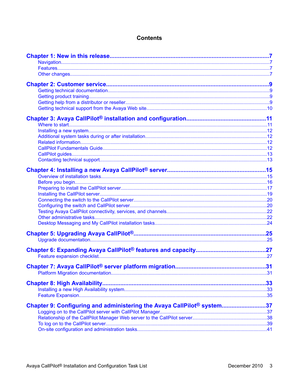| Chapter 9: Configuring and administering the Avaya CallPilot® system37 |  |
|------------------------------------------------------------------------|--|
|                                                                        |  |
|                                                                        |  |
|                                                                        |  |
|                                                                        |  |
|                                                                        |  |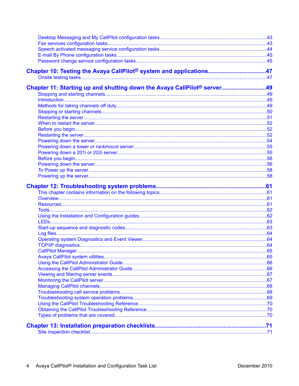| Chapter 10: Testing the Avaya CallPilot <sup>®</sup> system and applications47 |  |
|--------------------------------------------------------------------------------|--|
|                                                                                |  |
| Chapter 11: Starting up and shutting down the Avaya CallPilot® server49        |  |
|                                                                                |  |
|                                                                                |  |
|                                                                                |  |
|                                                                                |  |
|                                                                                |  |
|                                                                                |  |
|                                                                                |  |
|                                                                                |  |
|                                                                                |  |
|                                                                                |  |
|                                                                                |  |
|                                                                                |  |
|                                                                                |  |
|                                                                                |  |
|                                                                                |  |
|                                                                                |  |
|                                                                                |  |
|                                                                                |  |
|                                                                                |  |
|                                                                                |  |
|                                                                                |  |
|                                                                                |  |
|                                                                                |  |
|                                                                                |  |
|                                                                                |  |
|                                                                                |  |
|                                                                                |  |
|                                                                                |  |
|                                                                                |  |
|                                                                                |  |
|                                                                                |  |
|                                                                                |  |
|                                                                                |  |
|                                                                                |  |
|                                                                                |  |
|                                                                                |  |
|                                                                                |  |
|                                                                                |  |
|                                                                                |  |
|                                                                                |  |
|                                                                                |  |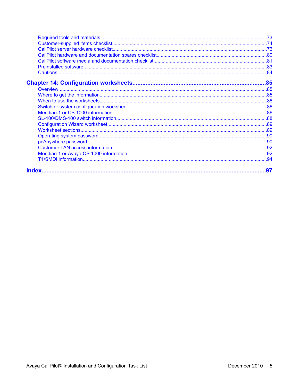| Index. | 97 |
|--------|----|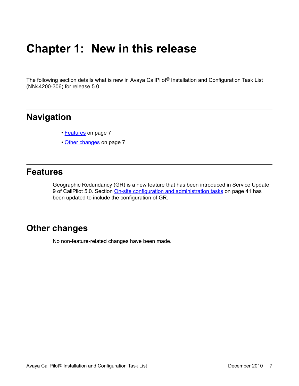# <span id="page-6-0"></span>**Chapter 1: New in this release**

The following section details what is new in Avaya CallPilot® Installation and Configuration Task List (NN44200-306) for release 5.0.

### **Navigation**

- **Features** on page 7
- Other changes on page 7

#### **Features**

Geographic Redundancy (GR) is a new feature that has been introduced in Service Update 9 of CallPilot 5.0. Section On-site configuration and [administration](#page-40-0) tasks on page 41 has been updated to include the configuration of GR.

### **Other changes**

No non-feature-related changes have been made.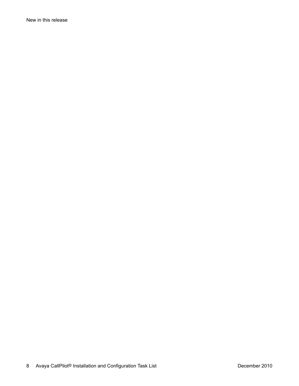New in this release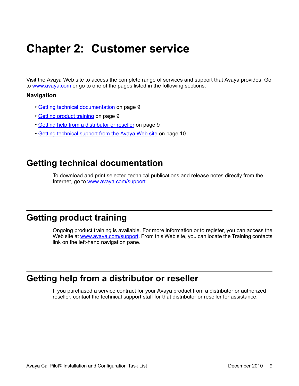# <span id="page-8-0"></span>**Chapter 2: Customer service**

Visit the Avaya Web site to access the complete range of services and support that Avaya provides. Go to [www.avaya.com](http://www.avaya.com) or go to one of the pages listed in the following sections.

#### **Navigation**

- Getting technical documentation on page 9
- Getting product training on page 9
- Getting help from a distributor or reseller on page 9
- Getting [technical](#page-9-0) support from the Avaya Web site on page 10

#### **Getting technical documentation**

To download and print selected technical publications and release notes directly from the Internet, go to [www.avaya.com/support](http://www.avaya.com/support).

### **Getting product training**

Ongoing product training is available. For more information or to register, you can access the Web site at [www.avaya.com/support.](http://www.avaya.com/support) From this Web site, you can locate the Training contacts link on the left-hand navigation pane.

#### **Getting help from a distributor or reseller**

If you purchased a service contract for your Avaya product from a distributor or authorized reseller, contact the technical support staff for that distributor or reseller for assistance.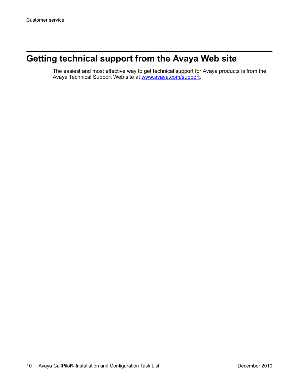# <span id="page-9-0"></span>**Getting technical support from the Avaya Web site**

The easiest and most effective way to get technical support for Avaya products is from the Avaya Technical Support Web site at [www.avaya.com/support](http://www.avaya.com/support).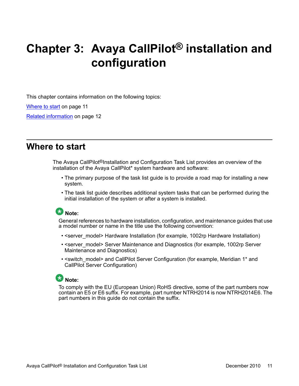# <span id="page-10-0"></span>**Chapter 3: Avaya CallPilot® installation and configuration**

This chapter contains information on the following topics:

Where to start on page 11

Related [information](#page-11-0) on page 12

#### **Where to start**

The Avaya CallPilot®Installation and Configuration Task List provides an overview of the installation of the Avaya CallPilot\* system hardware and software:

- The primary purpose of the task list guide is to provide a road map for installing a new system.
- The task list guide describes additional system tasks that can be performed during the initial installation of the system or after a system is installed.

#### $\mathbf \Omega$  Note:

General references to hardware installation, configuration, and maintenance guides that use a model number or name in the title use the following convention:

- <server\_model> Hardware Installation (for example, 1002rp Hardware Installation)
- <server\_model> Server Maintenance and Diagnostics (for example, 1002rp Server Maintenance and Diagnostics)
- <switch\_model> and CallPilot Server Configuration (for example, Meridian 1\* and CallPilot Server Configuration)

#### $\bigoplus$  Note:

To comply with the EU (European Union) RoHS directive, some of the part numbers now contain an E5 or E6 suffix. For example, part number NTRH2014 is now NTRH2014E6. The part numbers in this guide do not contain the suffix.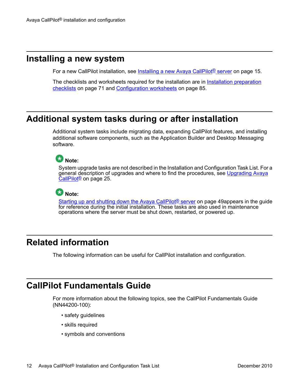## <span id="page-11-0"></span>**Installing a new system**

For a new CallPilot installation, see [Installing](#page-14-0) a new Avaya CallPilot<sup>®</sup> server on page 15.

The checklists and worksheets required for the installation are in Installation [preparation](#page-70-0) [checklists](#page-70-0) on page 71 and [Configuration](#page-84-0) worksheets on page 85.

## **Additional system tasks during or after installation**

Additional system tasks include migrating data, expanding CallPilot features, and installing additional software components, such as the Application Builder and Desktop Messaging software.

## $\mathbf \Omega$  Note:

System upgrade tasks are not described in the Installation and Configuration Task List. For a general description of upgrades and where to find the procedures, see [Upgrading](#page-24-0) Avaya [CallPilot](#page-24-0)® on page 25.

#### **Note:**

Starting up and shutting down the Avaya [CallPilot](#page-48-0)® server on page 49appears in the guide for reference during the initial installation. These tasks are also used in maintenance operations where the server must be shut down, restarted, or powered up.

## **Related information**

The following information can be useful for CallPilot installation and configuration.

## **CallPilot Fundamentals Guide**

For more information about the following topics, see the CallPilot Fundamentals Guide (NN44200-100):

- safety guidelines
- skills required
- symbols and conventions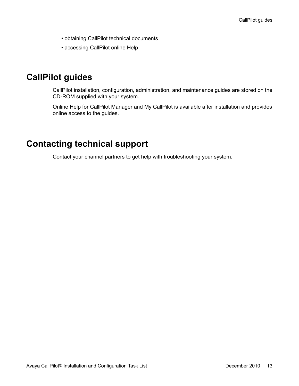- <span id="page-12-0"></span>• obtaining CallPilot technical documents
- accessing CallPilot online Help

## **CallPilot guides**

CallPilot installation, configuration, administration, and maintenance guides are stored on the CD-ROM supplied with your system.

Online Help for CallPilot Manager and My CallPilot is available after installation and provides online access to the guides.

## **Contacting technical support**

Contact your channel partners to get help with troubleshooting your system.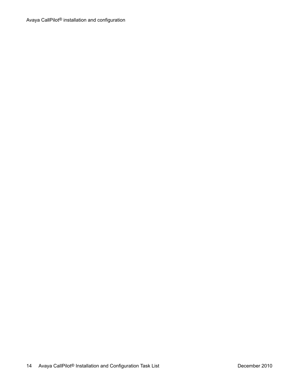Avaya CallPilot® installation and configuration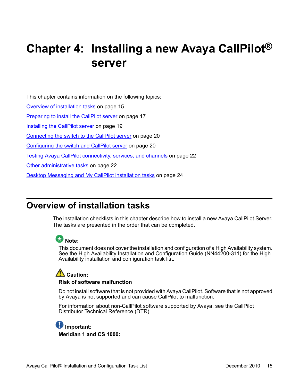# <span id="page-14-0"></span>**Chapter 4: Installing a new Avaya CallPilot® server**

This chapter contains information on the following topics:

Overview of installation tasks on page 15

[Preparing](#page-16-0) to install the CallPilot server on page 17

[Installing](#page-18-0) the CallPilot server on page 19

[Connecting](#page-19-0) the switch to the CallPilot server on page 20

[Configuring](#page-19-0) the switch and CallPilot server on page 20

Testing Avaya CallPilot [connectivity,](#page-21-0) services, and channels on page 22

Other [administrative](#page-21-0) tasks on page 22

Desktop [Messaging](#page-23-0) and My CallPilot installation tasks on page 24

## **Overview of installation tasks**

The installation checklists in this chapter describe how to install a new Avaya CallPilot Server. The tasks are presented in the order that can be completed.

#### **Note:**

This document does not cover the installation and configuration of a High Availability system. See the High Availability Installation and Configuration Guide (NN44200-311) for the High Availability installation and configuration task list.

### **Caution:**

#### **Risk of software malfunction**

Do not install software that is not provided with Avaya CallPilot. Software that is not approved by Avaya is not supported and can cause CallPilot to malfunction.

For information about non-CallPilot software supported by Avaya, see the CallPilot Distributor Technical Reference (DTR).

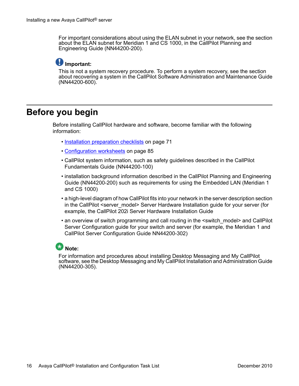<span id="page-15-0"></span>For important considerations about using the ELAN subnet in your network, see the section about the ELAN subnet for Meridian 1 and CS 1000, in the CallPilot Planning and Engineering Guide (NN44200-200).

#### **Important:**

This is not a system recovery procedure. To perform a system recovery, see the section about recovering a system in the CallPilot Software Administration and Maintenance Guide (NN44200-600).

## **Before you begin**

Before installing CallPilot hardware and software, become familiar with the following information:

- Installation [preparation](#page-70-0) checklists on page 71
- [Configuration](#page-84-0) worksheets on page 85
- CallPilot system information, such as safety guidelines described in the CallPilot Fundamentals Guide (NN44200-100)
- installation background information described in the CallPilot Planning and Engineering Guide (NN44200-200) such as requirements for using the Embedded LAN (Meridian 1 and CS 1000)
- a high-level diagram of how CallPilot fits into your network in the server description section in the CallPilot <server\_model> Server Hardware Installation guide for your server (for example, the CallPilot 202i Server Hardware Installation Guide
- an overview of switch programming and call routing in the  $\leq$  switch model> and CallPilot Server Configuration guide for your switch and server (for example, the Meridian 1 and CallPilot Server Configuration Guide NN44200-302)

#### $\bullet$  Note:

For information and procedures about installing Desktop Messaging and My CallPilot software, see the Desktop Messaging and My CallPilot Installation and Administration Guide (NN44200-305).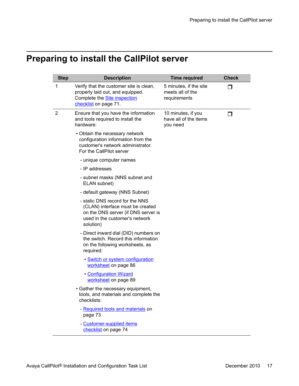# <span id="page-16-0"></span>**Preparing to install the CallPilot server**

| <b>Step</b> | <b>Description</b>                                                                                                                                        | <b>Time required</b>                                       | <b>Check</b> |
|-------------|-----------------------------------------------------------------------------------------------------------------------------------------------------------|------------------------------------------------------------|--------------|
| 1           | Verify that the customer site is clean,<br>properly laid out, and equipped.<br>Complete the <b>Site inspection</b><br>checklist on page 71.               | 5 minutes, if the site<br>meets all of the<br>requirements | ⊓            |
| 2           | Ensure that you have the information<br>and tools required to install the<br>hardware:                                                                    | 10 minutes, if you<br>have all of the items<br>you need    | ⊓            |
|             | • Obtain the necessary network<br>configuration information from the<br>customer's network administrator.<br>For the CallPilot server                     |                                                            |              |
|             | - unique computer names                                                                                                                                   |                                                            |              |
|             | - IP addresses                                                                                                                                            |                                                            |              |
|             | - subnet masks (NNS subnet and<br>ELAN subnet)                                                                                                            |                                                            |              |
|             | - default gateway (NNS Subnet)                                                                                                                            |                                                            |              |
|             | - static DNS record for the NNS<br>(CLAN) interface must be created<br>on the DNS server (if DNS server is<br>used in the customer's network<br>solution) |                                                            |              |
|             | - Direct inward dial (DID) numbers on<br>the switch. Record this information<br>on the following worksheets, as<br>required:                              |                                                            |              |
|             | · Switch or system configuration<br>worksheet on page 86                                                                                                  |                                                            |              |
|             | <b>• Configuration Wizard</b><br>worksheet on page 89                                                                                                     |                                                            |              |
|             | • Gather the necessary equipment,<br>tools, and materials and complete the<br>checklists:                                                                 |                                                            |              |
|             | - Required tools and materials on<br>page 73                                                                                                              |                                                            |              |
|             | - Customer-supplied items<br>checklist on page 74                                                                                                         |                                                            |              |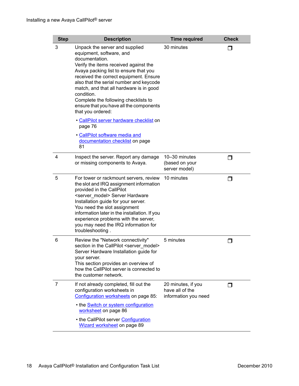| <b>Step</b> | <b>Description</b>                                                                                                                                                                                                                                                                                                                                                                                                   | <b>Time required</b>                                          | <b>Check</b> |
|-------------|----------------------------------------------------------------------------------------------------------------------------------------------------------------------------------------------------------------------------------------------------------------------------------------------------------------------------------------------------------------------------------------------------------------------|---------------------------------------------------------------|--------------|
| 3           | Unpack the server and supplied<br>equipment, software, and<br>documentation.<br>Verify the items received against the<br>Avaya packing list to ensure that you<br>received the correct equipment. Ensure<br>also that the serial number and keycode<br>match, and that all hardware is in good<br>condition.<br>Complete the following checklists to<br>ensure that you have all the components<br>that you ordered: | 30 minutes                                                    | $\Box$       |
|             | · CallPilot server hardware checklist on<br>page 76                                                                                                                                                                                                                                                                                                                                                                  |                                                               |              |
|             | • CallPilot software media and<br>documentation checklist on page<br>81                                                                                                                                                                                                                                                                                                                                              |                                                               |              |
| 4           | Inspect the server. Report any damage<br>or missing components to Avaya.                                                                                                                                                                                                                                                                                                                                             | 10-30 minutes<br>(based on your<br>server model)              | ⊓            |
| 5           | For tower or rackmount servers, review<br>the slot and IRQ assignment information<br>provided in the CallPilot<br><server model=""> Server Hardware<br/>Installation guide for your server.<br/>You need the slot assignment<br/>information later in the installation. If you<br/>experience problems with the server,<br/>you may need the IRQ information for<br/>troubleshooting.</server>                       | 10 minutes                                                    | П            |
| 6           | Review the "Network connectivity"<br>section in the CallPilot <server model=""><br/>Server Hardware Installation guide for<br/>your server.<br/>This section provides an overview of<br/>how the CallPilot server is connected to<br/>the customer network.</server>                                                                                                                                                 | 5 minutes                                                     | П            |
| 7           | If not already completed, fill out the<br>configuration worksheets in<br>Configuration worksheets on page 85:<br>• the Switch or system configuration<br>worksheet on page 86                                                                                                                                                                                                                                        | 20 minutes, if you<br>have all of the<br>information you need | ⊓            |
|             | • the CallPilot server Configuration<br>Wizard worksheet on page 89                                                                                                                                                                                                                                                                                                                                                  |                                                               |              |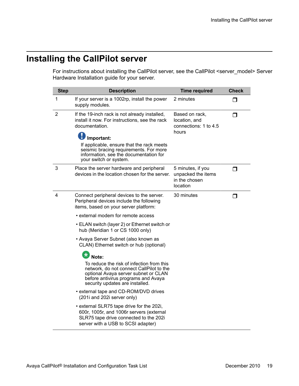# <span id="page-18-0"></span>**Installing the CallPilot server**

For instructions about installing the CallPilot server, see the CallPilot <server\_model> Server Hardware Installation guide for your server.

| <b>Step</b>    | <b>Description</b>                                                                                                                                                                                                                                                                         | <b>Time required</b>                                                 | <b>Check</b> |
|----------------|--------------------------------------------------------------------------------------------------------------------------------------------------------------------------------------------------------------------------------------------------------------------------------------------|----------------------------------------------------------------------|--------------|
| 1              | If your server is a 1002rp, install the power<br>supply modules.                                                                                                                                                                                                                           | 2 minutes                                                            | $\Box$       |
| $\overline{2}$ | If the 19-inch rack is not already installed,<br>install it now. For instructions, see the rack<br>documentation.<br>Important:<br>If applicable, ensure that the rack meets<br>seismic bracing requirements. For more<br>information, see the documentation for<br>your switch or system. | Based on rack,<br>location, and<br>connections: 1 to 4.5<br>hours    | ⊓            |
| 3              | Place the server hardware and peripheral<br>devices in the location chosen for the server.                                                                                                                                                                                                 | 5 minutes, if you<br>unpacked the items<br>in the chosen<br>location | □            |
| 4              | Connect peripheral devices to the server.<br>Peripheral devices include the following<br>items, based on your server platform:                                                                                                                                                             | 30 minutes                                                           | ⊓            |
|                | • external modem for remote access                                                                                                                                                                                                                                                         |                                                                      |              |
|                | • ELAN switch (layer 2) or Ethernet switch or<br>hub (Meridian 1 or CS 1000 only)                                                                                                                                                                                                          |                                                                      |              |
|                | • Avaya Server Subnet (also known as<br>CLAN) Ethernet switch or hub (optional)                                                                                                                                                                                                            |                                                                      |              |
|                | Note:                                                                                                                                                                                                                                                                                      |                                                                      |              |
|                | To reduce the risk of infection from this<br>network, do not connect CallPilot to the<br>optional Avaya server subnet or CLAN<br>before antivirus programs and Avaya<br>security updates are installed.                                                                                    |                                                                      |              |
|                | • external tape and CD-ROM/DVD drives<br>(201i and 202i server only)                                                                                                                                                                                                                       |                                                                      |              |
|                | • external SLR75 tape drive for the 202i,<br>600r, 1005r, and 1006r servers (external<br>SLR75 tape drive connected to the 202i<br>server with a USB to SCSI adapter)                                                                                                                      |                                                                      |              |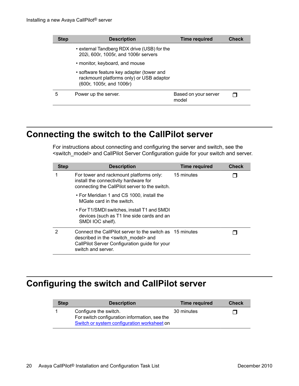<span id="page-19-0"></span>

| <b>Step</b> | <b>Description</b>                                                                                                | <b>Time required</b>          | <b>Check</b> |
|-------------|-------------------------------------------------------------------------------------------------------------------|-------------------------------|--------------|
|             | • external Tandberg RDX drive (USB) for the<br>202i, 600r, 1005r, and 1006r servers                               |                               |              |
|             | • monitor, keyboard, and mouse                                                                                    |                               |              |
|             | • software feature key adapter (tower and<br>rackmount platforms only) or USB adaptor<br>(600r, 1005r, and 1006r) |                               |              |
| 5           | Power up the server.                                                                                              | Based on your server<br>model |              |

### **Connecting the switch to the CallPilot server**

For instructions about connecting and configuring the server and switch, see the <switch\_model> and CallPilot Server Configuration guide for your switch and server.

| <b>Step</b> | <b>Description</b>                                                                                                                                                   | <b>Time required</b> | <b>Check</b> |
|-------------|----------------------------------------------------------------------------------------------------------------------------------------------------------------------|----------------------|--------------|
| 1           | For tower and rackmount platforms only:<br>install the connectivity hardware for<br>connecting the CallPilot server to the switch.                                   | 15 minutes           |              |
|             | • For Meridian 1 and CS 1000, install the<br>MGate card in the switch.                                                                                               |                      |              |
|             | • For T1/SMDI switches, install T1 and SMDI<br>devices (such as T1 line side cards and an<br>SMDI IOC shelf).                                                        |                      |              |
| 2           | Connect the CallPilot server to the switch as 15 minutes<br>described in the switch model and<br>CallPilot Server Configuration guide for your<br>switch and server. |                      |              |

# **Configuring the switch and CallPilot server**

| <b>Step</b> | <b>Description</b>                                                                                                    | Time required | Check |
|-------------|-----------------------------------------------------------------------------------------------------------------------|---------------|-------|
|             | Configure the switch.<br>For switch configuration information, see the<br>Switch or system configuration worksheet on | 30 minutes    |       |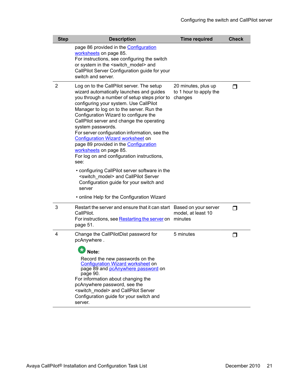| <b>Step</b> | <b>Description</b>                                                                                                                                                                                                                                                                                                                                                                                                                                                                                                                                                                                                                                                                                                                                                      | <b>Time required</b>                                     | <b>Check</b> |
|-------------|-------------------------------------------------------------------------------------------------------------------------------------------------------------------------------------------------------------------------------------------------------------------------------------------------------------------------------------------------------------------------------------------------------------------------------------------------------------------------------------------------------------------------------------------------------------------------------------------------------------------------------------------------------------------------------------------------------------------------------------------------------------------------|----------------------------------------------------------|--------------|
|             | page 86 provided in the Configuration<br>worksheets on page 85.<br>For instructions, see configuring the switch<br>or system in the <switch_model> and<br/>CallPilot Server Configuration guide for your<br/>switch and server.</switch_model>                                                                                                                                                                                                                                                                                                                                                                                                                                                                                                                          |                                                          |              |
| 2           | Log on to the CallPilot server. The setup<br>wizard automatically launches and guides<br>you through a number of setup steps prior to<br>configuring your system. Use CallPilot<br>Manager to log on to the server. Run the<br>Configuration Wizard to configure the<br>CallPilot server and change the operating<br>system passwords.<br>For server configuration information, see the<br><b>Configuration Wizard worksheet on</b><br>page 89 provided in the Configuration<br>worksheets on page 85.<br>For log on and configuration instructions,<br>see:<br>• configuring CallPilot server software in the<br><switch model=""> and CallPilot Server<br/>Configuration guide for your switch and<br/>server<br/>• online Help for the Configuration Wizard</switch> | 20 minutes, plus up<br>to 1 hour to apply the<br>changes |              |
| 3           | Restart the server and ensure that it can start Based on your server<br>CallPilot.<br>For instructions, see Restarting the server on<br>page 51.                                                                                                                                                                                                                                                                                                                                                                                                                                                                                                                                                                                                                        | model, at least 10<br>minutes                            | П            |
| 4           | Change the CallPilotDist password for<br>pcAnywhere.<br>Note:<br>Record the new passwords on the<br><b>Configuration Wizard worksheet on</b><br>page 89 and pcAnywhere password on<br>page 90.<br>For information about changing the<br>pcAnywhere password, see the<br><switch model=""> and CallPilot Server<br/>Configuration guide for your switch and<br/>server.</switch>                                                                                                                                                                                                                                                                                                                                                                                         | 5 minutes                                                | □            |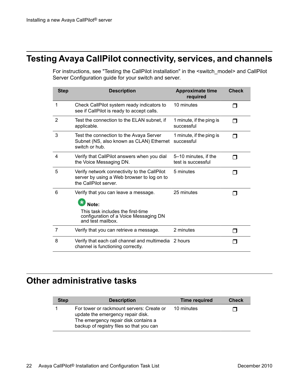# <span id="page-21-0"></span>**Testing Avaya CallPilot connectivity, services, and channels**

For instructions, see "Testing the CallPilot installation" in the <switch\_model> and CallPilot Server Configuration guide for your switch and server.

| <b>Step</b> | <b>Description</b>                                                                                                  | <b>Approximate time</b><br>required        | <b>Check</b>  |
|-------------|---------------------------------------------------------------------------------------------------------------------|--------------------------------------------|---------------|
| 1           | Check CallPilot system ready indicators to<br>see if CallPilot is ready to accept calls.                            | 10 minutes                                 | - 1           |
| 2           | Test the connection to the ELAN subnet, if<br>applicable.                                                           | 1 minute, if the ping is<br>successful     | П             |
| 3           | Test the connection to the Avaya Server<br>Subnet (NS, also known as CLAN) Ethernet<br>switch or hub.               | 1 minute, if the ping is<br>successful     | $\mathcal{L}$ |
| 4           | Verify that CallPilot answers when you dial<br>the Voice Messaging DN.                                              | 5-10 minutes, if the<br>test is successful |               |
| 5           | Verify network connectivity to the CallPilot<br>server by using a Web browser to log on to<br>the CallPilot server. | 5 minutes                                  |               |
| 6           | Verify that you can leave a message.<br>Note <sup>-</sup>                                                           | 25 minutes                                 |               |
|             | This task includes the first-time<br>configuration of a Voice Messaging DN<br>and test mailbox.                     |                                            |               |
| 7           | Verify that you can retrieve a message.                                                                             | 2 minutes                                  |               |
| 8           | Verify that each call channel and multimedia<br>channel is functioning correctly.                                   | 2 hours                                    |               |

## **Other administrative tasks**

| <b>Step</b> | <b>Description</b>                                                                                                                                                 | <b>Time required</b> | <b>Check</b> |
|-------------|--------------------------------------------------------------------------------------------------------------------------------------------------------------------|----------------------|--------------|
|             | For tower or rackmount servers: Create or<br>update the emergency repair disk.<br>The emergency repair disk contains a<br>backup of registry files so that you can | 10 minutes           |              |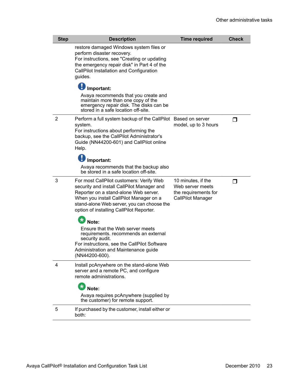| <b>Step</b> | <b>Description</b>                                                                                                                                                                                                                                                               | <b>Time required</b>                                                                       | <b>Check</b> |
|-------------|----------------------------------------------------------------------------------------------------------------------------------------------------------------------------------------------------------------------------------------------------------------------------------|--------------------------------------------------------------------------------------------|--------------|
|             | restore damaged Windows system files or<br>perform disaster recovery.<br>For instructions, see "Creating or updating<br>the emergency repair disk" in Part 4 of the<br>CallPilot Installation and Configuration<br>guides.<br>Important:<br>Avaya recommends that you create and |                                                                                            |              |
|             | maintain more than one copy of the<br>emergency repair disk. The disks can be<br>stored in a safe location off-site.                                                                                                                                                             |                                                                                            |              |
| 2           | Perform a full system backup of the CallPilot Based on server<br>system.<br>For instructions about performing the<br>backup, see the CallPilot Administrator's<br>Guide (NN44200-601) and CallPilot online<br>Help.                                                              | model, up to 3 hours                                                                       | □            |
|             | Important:                                                                                                                                                                                                                                                                       |                                                                                            |              |
|             | Avaya recommends that the backup also<br>be stored in a safe location off-site.                                                                                                                                                                                                  |                                                                                            |              |
| 3           | For most CallPilot customers: Verify Web<br>security and install CallPilot Manager and<br>Reporter on a stand-alone Web server.<br>When you install CallPilot Manager on a<br>stand-alone Web server, you can choose the<br>option of installing CallPilot Reporter.             | 10 minutes, if the<br>Web server meets<br>the requirements for<br><b>CallPilot Manager</b> | □            |
|             | Note:<br>Ensure that the Web server meets<br>requirements. recommends an external<br>security audit.<br>For instructions, see the CallPilot Software<br>Administration and Maintenance guide<br>(NN44200-600).                                                                   |                                                                                            |              |
| 4           | Install pcAnywhere on the stand-alone Web<br>server and a remote PC, and configure<br>remote administrations.                                                                                                                                                                    |                                                                                            |              |
|             | Note:                                                                                                                                                                                                                                                                            |                                                                                            |              |
|             | Avaya requires pcAnywhere (supplied by<br>the customer) for remote support.                                                                                                                                                                                                      |                                                                                            |              |
| 5           | If purchased by the customer, install either or<br>both:                                                                                                                                                                                                                         |                                                                                            |              |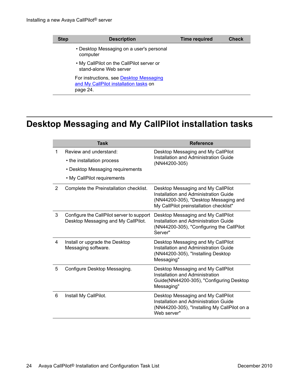<span id="page-23-0"></span>

| <b>Step</b> | <b>Description</b>                                                                                   | <b>Time required</b> | <b>Check</b> |
|-------------|------------------------------------------------------------------------------------------------------|----------------------|--------------|
|             | • Desktop Messaging on a user's personal<br>computer                                                 |                      |              |
|             | • My CallPilot on the CallPilot server or<br>stand-alone Web server                                  |                      |              |
|             | For instructions, see <b>Desktop Messaging</b><br>and My CallPilot installation tasks on<br>page 24. |                      |              |

## **Desktop Messaging and My CallPilot installation tasks**

|                | <b>Task</b>                                                                      | <b>Reference</b>                                                                                                                                                |
|----------------|----------------------------------------------------------------------------------|-----------------------------------------------------------------------------------------------------------------------------------------------------------------|
| 1              | Review and understand:                                                           | Desktop Messaging and My CallPilot                                                                                                                              |
|                | • the installation process                                                       | Installation and Administration Guide<br>(NN44200-305)                                                                                                          |
|                | • Desktop Messaging requirements                                                 |                                                                                                                                                                 |
|                | • My CallPilot requirements                                                      |                                                                                                                                                                 |
| $\overline{2}$ | Complete the Preinstallation checklist.                                          | Desktop Messaging and My CallPilot<br>Installation and Administration Guide<br>(NN44200-305), "Desktop Messaging and<br>My CallPilot preinstallation checklist" |
| 3              | Configure the CallPilot server to support<br>Desktop Messaging and My CallPilot. | Desktop Messaging and My CallPilot<br>Installation and Administration Guide<br>(NN44200-305), "Configuring the CallPilot<br>Server"                             |
| 4              | Install or upgrade the Desktop<br>Messaging software.                            | Desktop Messaging and My CallPilot<br>Installation and Administration Guide<br>(NN44200-305), "Installing Desktop<br>Messaging"                                 |
| 5              | Configure Desktop Messaging.                                                     | Desktop Messaging and My CallPilot<br>Installation and Administration<br>Guide(NN44200-305), "Configuring Desktop<br>Messaging"                                 |
| 6              | Install My CallPilot.                                                            | Desktop Messaging and My CallPilot<br>Installation and Administration Guide<br>(NN44200-305), "Installing My CallPilot on a<br>Web server"                      |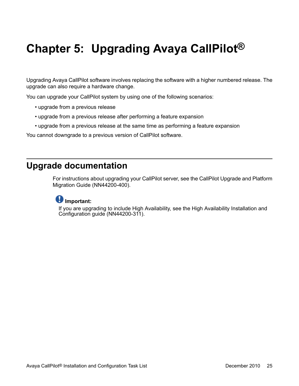# <span id="page-24-0"></span>**Chapter 5: Upgrading Avaya CallPilot®**

Upgrading Avaya CallPilot software involves replacing the software with a higher numbered release. The upgrade can also require a hardware change.

You can upgrade your CallPilot system by using one of the following scenarios:

- upgrade from a previous release
- upgrade from a previous release after performing a feature expansion
- upgrade from a previous release at the same time as performing a feature expansion

You cannot downgrade to a previous version of CallPilot software.

### **Upgrade documentation**

For instructions about upgrading your CallPilot server, see the CallPilot Upgrade and Platform Migration Guide (NN44200-400).

#### **Important:**

If you are upgrading to include High Availability, see the High Availability Installation and Configuration guide (NN44200-311).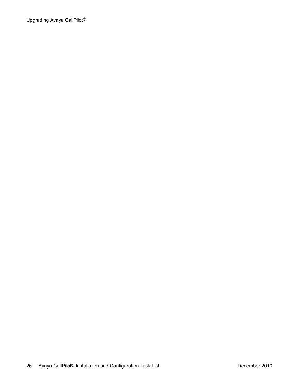Upgrading Avaya CallPilot®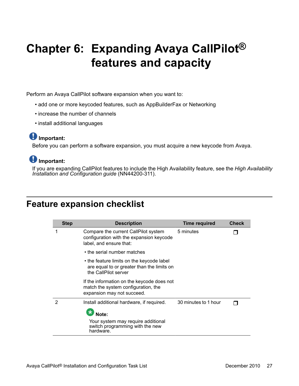# <span id="page-26-0"></span>**Chapter 6: Expanding Avaya CallPilot® features and capacity**

Perform an Avaya CallPilot software expansion when you want to:

- add one or more keycoded features, such as AppBuilderFax or Networking
- increase the number of channels
- install additional languages

#### $\bullet$  Important:

Before you can perform a software expansion, you must acquire a new keycode from Avaya.

#### $\bigoplus$  Important:

If you are expanding CallPilot features to include the High Availability feature, see the *High Availability Installation and Configuration guide* (NN44200-311).

## **Feature expansion checklist**

| <b>Step</b> | <b>Description</b>                                                                                              | <b>Time required</b> | <b>Check</b> |
|-------------|-----------------------------------------------------------------------------------------------------------------|----------------------|--------------|
|             | Compare the current CallPilot system<br>configuration with the expansion keycode<br>label, and ensure that:     | 5 minutes            |              |
|             | • the serial number matches                                                                                     |                      |              |
|             | • the feature limits on the keycode label<br>are equal to or greater than the limits on<br>the CallPilot server |                      |              |
|             | If the information on the keycode does not<br>match the system configuration, the<br>expansion may not succeed. |                      |              |
| 2           | Install additional hardware, if required.                                                                       | 30 minutes to 1 hour |              |
|             | Note:                                                                                                           |                      |              |
|             | Your system may require additional<br>switch programming with the new<br>hardware.                              |                      |              |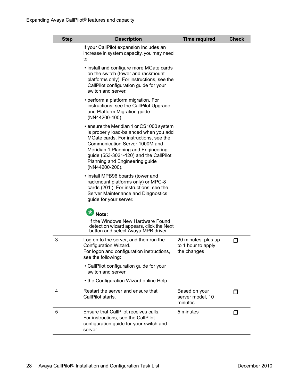| <b>Step</b> | <b>Description</b>                                                                                                                                                                                                                                                                                  | <b>Time required</b>                                     | <b>Check</b> |
|-------------|-----------------------------------------------------------------------------------------------------------------------------------------------------------------------------------------------------------------------------------------------------------------------------------------------------|----------------------------------------------------------|--------------|
|             | If your CallPilot expansion includes an<br>increase in system capacity, you may need<br>to                                                                                                                                                                                                          |                                                          |              |
|             | • install and configure more MGate cards<br>on the switch (tower and rackmount<br>platforms only). For instructions, see the<br>CallPilot configuration guide for your<br>switch and server.                                                                                                        |                                                          |              |
|             | • perform a platform migration. For<br>instructions, see the CallPilot Upgrade<br>and Platform Migration guide<br>(NN44200-400).                                                                                                                                                                    |                                                          |              |
|             | • ensure the Meridian 1 or CS1000 system<br>is properly load-balanced when you add<br>MGate cards. For instructions, see the<br>Communication Server 1000M and<br>Meridian 1 Planning and Engineering<br>guide (553-3021-120) and the CallPilot<br>Planning and Engineering guide<br>(NN44200-200). |                                                          |              |
|             | • install MPB96 boards (tower and<br>rackmount platforms only) or MPC-8<br>cards (201i). For instructions, see the<br>Server Maintenance and Diagnostics<br>guide for your server.                                                                                                                  |                                                          |              |
|             | Note:                                                                                                                                                                                                                                                                                               |                                                          |              |
|             | If the Windows New Hardware Found<br>detection wizard appears, click the Next<br>button and select Avaya MPB driver.                                                                                                                                                                                |                                                          |              |
| 3           | Log on to the server, and then run the<br>Configuration Wizard.<br>For logon and configuration instructions,<br>see the following:                                                                                                                                                                  | 20 minutes, plus up<br>to 1 hour to apply<br>the changes | П            |
|             | • CallPilot configuration guide for your<br>switch and server                                                                                                                                                                                                                                       |                                                          |              |
|             | • the Configuration Wizard online Help                                                                                                                                                                                                                                                              |                                                          |              |
| 4           | Restart the server and ensure that<br>CallPilot starts.                                                                                                                                                                                                                                             | Based on your<br>server model, 10<br>minutes             | П            |
| 5           | Ensure that CallPilot receives calls.<br>For instructions, see the CallPilot<br>configuration guide for your switch and<br>server.                                                                                                                                                                  | 5 minutes                                                | ┒            |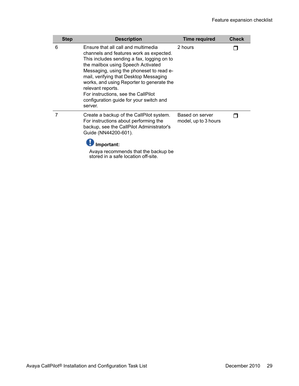| <b>Step</b> | <b>Description</b>                                                                                                                                                                                                                                                                                                                                                                                                      | <b>Time required</b>                    | <b>Check</b> |
|-------------|-------------------------------------------------------------------------------------------------------------------------------------------------------------------------------------------------------------------------------------------------------------------------------------------------------------------------------------------------------------------------------------------------------------------------|-----------------------------------------|--------------|
| 6           | Ensure that all call and multimedia<br>channels and features work as expected.<br>This includes sending a fax, logging on to<br>the mailbox using Speech Activated<br>Messaging, using the phoneset to read e-<br>mail, verifying that Desktop Messaging<br>works, and using Reporter to generate the<br>relevant reports.<br>For instructions, see the CallPilot<br>configuration guide for your switch and<br>server. | 2 hours                                 |              |
| 7           | Create a backup of the CallPilot system.<br>For instructions about performing the<br>backup, see the CallPilot Administrator's<br>Guide (NN44200-601).                                                                                                                                                                                                                                                                  | Based on server<br>model, up to 3 hours |              |
|             | Important:                                                                                                                                                                                                                                                                                                                                                                                                              |                                         |              |
|             | Avaya recommends that the backup be<br>stored in a safe location off-site.                                                                                                                                                                                                                                                                                                                                              |                                         |              |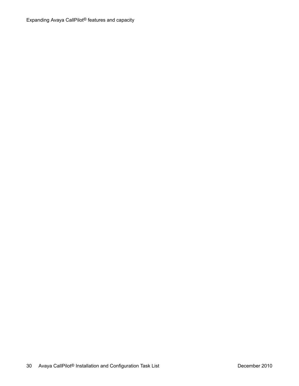Expanding Avaya CallPilot® features and capacity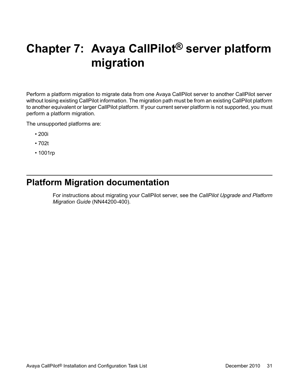# <span id="page-30-0"></span>**Chapter 7: Avaya CallPilot® server platform migration**

Perform a platform migration to migrate data from one Avaya CallPilot server to another CallPilot server without losing existing CallPilot information. The migration path must be from an existing CallPilot platform to another equivalent or larger CallPilot platform. If your current server platform is not supported, you must perform a platform migration.

The unsupported platforms are:

- 200i
- 702t
- 1001rp

### **Platform Migration documentation**

For instructions about migrating your CallPilot server, see the *CallPilot Upgrade and Platform Migration Guide* (NN44200-400).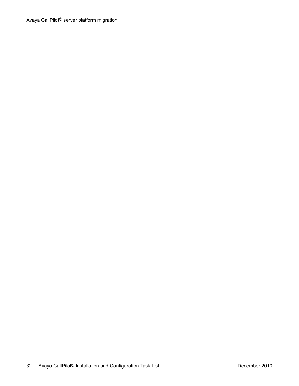Avaya CallPilot® server platform migration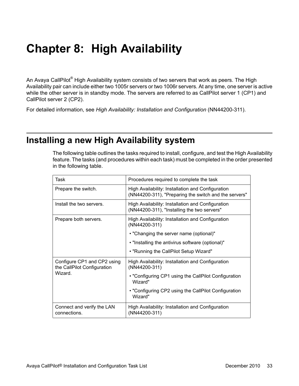# <span id="page-32-0"></span>**Chapter 8: High Availability**

An Avaya CallPilot $^\circ$  High Availability system consists of two servers that work as peers. The High Availability pair can include either two 1005r servers or two 1006r servers. At any time, one server is active while the other server is in standby mode. The servers are referred to as CallPilot server 1 (CP1) and CallPilot server 2 (CP2).

For detailed information, see *High Availability: Installation and Configuration* (NN44200-311).

### **Installing a new High Availability system**

The following table outlines the tasks required to install, configure, and test the High Availability feature. The tasks (and procedures within each task) must be completed in the order presented in the following table.

| Task                                                       | Procedures required to complete the task                                                                   |
|------------------------------------------------------------|------------------------------------------------------------------------------------------------------------|
| Prepare the switch.                                        | High Availability: Installation and Configuration<br>(NN44200-311), "Preparing the switch and the servers" |
| Install the two servers.                                   | High Availability: Installation and Configuration<br>(NN44200-311), "Installing the two servers"           |
| Prepare both servers.                                      | High Availability: Installation and Configuration<br>(NN44200-311)                                         |
|                                                            | • "Changing the server name (optional)"                                                                    |
|                                                            | • "Installing the antivirus software (optional)"                                                           |
|                                                            | . "Running the CallPilot Setup Wizard"                                                                     |
| Configure CP1 and CP2 using<br>the CallPilot Configuration | High Availability: Installation and Configuration<br>(NN44200-311)                                         |
| Wizard.                                                    | • "Configuring CP1 using the CallPilot Configuration<br>Wizard"                                            |
|                                                            | • "Configuring CP2 using the CallPilot Configuration<br>Wizard"                                            |
| Connect and verify the LAN<br>connections.                 | High Availability: Installation and Configuration<br>(NN44200-311)                                         |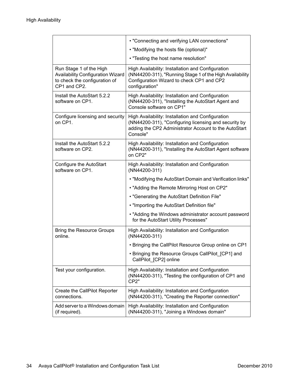|                                                                                                                      | • "Connecting and verifying LAN connections"                                                                                                                                    |
|----------------------------------------------------------------------------------------------------------------------|---------------------------------------------------------------------------------------------------------------------------------------------------------------------------------|
|                                                                                                                      | • "Modifying the hosts file (optional)"                                                                                                                                         |
|                                                                                                                      | • "Testing the host name resolution"                                                                                                                                            |
| Run Stage 1 of the High<br><b>Availability Configuration Wizard</b><br>to check the configuration of<br>CP1 and CP2. | High Availability: Installation and Configuration<br>(NN44200-311), "Running Stage 1 of the High Availability<br>Configuration Wizard to check CP1 and CP2<br>configuration"    |
| Install the AutoStart 5.2.2<br>software on CP1.                                                                      | High Availability: Installation and Configuration<br>(NN44200-311), "Installing the AutoStart Agent and<br>Console software on CP1"                                             |
| Configure licensing and security<br>on CP1.                                                                          | High Availability: Installation and Configuration<br>(NN44200-311), "Configuring licensing and security by<br>adding the CP2 Administrator Account to the AutoStart<br>Console" |
| Install the AutoStart 5.2.2<br>software on CP2.                                                                      | High Availability: Installation and Configuration<br>(NN44200-311), "Installing the AutoStart Agent software<br>on CP2"                                                         |
| Configure the AutoStart<br>software on CP1.                                                                          | High Availability: Installation and Configuration<br>(NN44200-311)                                                                                                              |
|                                                                                                                      | . "Modifying the AutoStart Domain and Verification links"                                                                                                                       |
|                                                                                                                      | • "Adding the Remote Mirroring Host on CP2"                                                                                                                                     |
|                                                                                                                      | • "Generating the AutoStart Definition File"                                                                                                                                    |
|                                                                                                                      | . "Importing the AutoStart Definition file"                                                                                                                                     |
|                                                                                                                      | • "Adding the Windows administrator account password<br>for the AutoStart Utility Processes"                                                                                    |
| <b>Bring the Resource Groups</b><br>online.                                                                          | High Availability: Installation and Configuration<br>(NN44200-311)                                                                                                              |
|                                                                                                                      | • Bringing the CallPilot Resource Group online on CP1                                                                                                                           |
|                                                                                                                      | • Bringing the Resource Groups CallPilot_[CP1] and<br>CallPilot [CP2] online                                                                                                    |
| Test your configuration.                                                                                             | High Availability: Installation and Configuration<br>(NN44200-311), "Testing the configuration of CP1 and<br>CP2"                                                               |
| Create the CallPilot Reporter<br>connections.                                                                        | High Availability: Installation and Configuration<br>(NN44200-311), "Creating the Reporter connection"                                                                          |
| Add server to a Windows domain<br>(if required).                                                                     | High Availability: Installation and Configuration<br>(NN44200-311), "Joining a Windows domain"                                                                                  |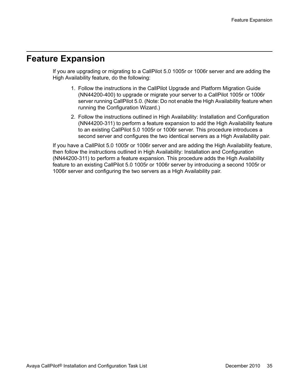### <span id="page-34-0"></span>**Feature Expansion**

If you are upgrading or migrating to a CallPilot 5.0 1005r or 1006r server and are adding the High Availability feature, do the following:

- 1. Follow the instructions in the CallPilot Upgrade and Platform Migration Guide (NN44200-400) to upgrade or migrate your server to a CallPilot 1005r or 1006r server running CallPilot 5.0. (Note: Do not enable the High Availability feature when running the Configuration Wizard.)
- 2. Follow the instructions outlined in High Availability: Installation and Configuration (NN44200-311) to perform a feature expansion to add the High Availability feature to an existing CallPilot 5.0 1005r or 1006r server. This procedure introduces a second server and configures the two identical servers as a High Availability pair.

If you have a CallPilot 5.0 1005r or 1006r server and are adding the High Availability feature, then follow the instructions outlined in High Availability: Installation and Configuration (NN44200-311) to perform a feature expansion. This procedure adds the High Availability feature to an existing CallPilot 5.0 1005r or 1006r server by introducing a second 1005r or 1006r server and configuring the two servers as a High Availability pair.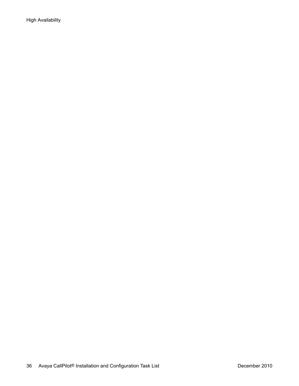High Availability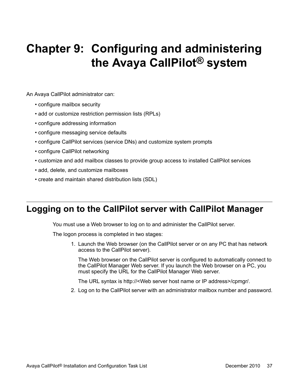# <span id="page-36-0"></span>**Chapter 9: Configuring and administering the Avaya CallPilot® system**

An Avaya CallPilot administrator can:

- configure mailbox security
- add or customize restriction permission lists (RPLs)
- configure addressing information
- configure messaging service defaults
- configure CallPilot services (service DNs) and customize system prompts
- configure CallPilot networking
- customize and add mailbox classes to provide group access to installed CallPilot services
- add, delete, and customize mailboxes
- create and maintain shared distribution lists (SDL)

# **Logging on to the CallPilot server with CallPilot Manager**

You must use a Web browser to log on to and administer the CallPilot server.

The logon process is completed in two stages:

1. Launch the Web browser (on the CallPilot server or on any PC that has network access to the CallPilot server).

The Web browser on the CallPilot server is configured to automatically connect to the CallPilot Manager Web server. If you launch the Web browser on a PC, you must specify the URL for the CallPilot Manager Web server.

The URL syntax is http://<Web server host name or IP address>/cpmgr/.

2. Log on to the CallPilot server with an administrator mailbox number and password.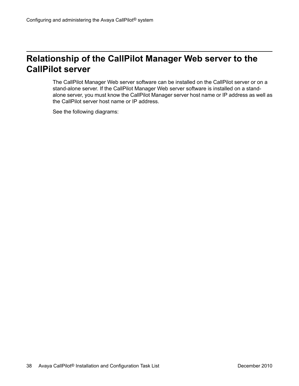# **Relationship of the CallPilot Manager Web server to the CallPilot server**

The CallPilot Manager Web server software can be installed on the CallPilot server or on a stand-alone server. If the CallPilot Manager Web server software is installed on a standalone server, you must know the CallPilot Manager server host name or IP address as well as the CallPilot server host name or IP address.

See the following diagrams: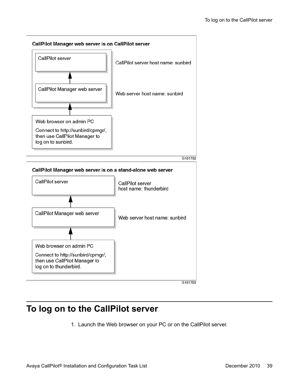

# **To log on to the CallPilot server**

1. Launch the Web browser on your PC or on the CallPilot server.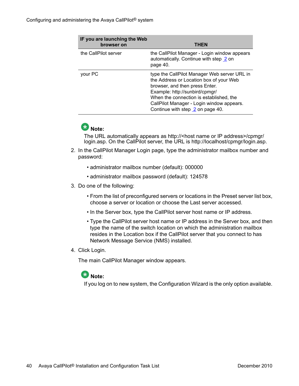| IF you are launching the Web<br>browser on | THEN                                                                                                                                                                                                                                                                                    |
|--------------------------------------------|-----------------------------------------------------------------------------------------------------------------------------------------------------------------------------------------------------------------------------------------------------------------------------------------|
| the CallPilot server                       | the CallPilot Manager - Login window appears<br>automatically. Continue with step 2 on<br>page 40.                                                                                                                                                                                      |
| your PC                                    | type the CallPilot Manager Web server URL in<br>the Address or Location box of your Web<br>browser, and then press Enter.<br>Example: http://sunbird/cpmgr/<br>When the connection is established, the<br>CallPilot Manager - Login window appears.<br>Continue with step 2 on page 40. |



The URL automatically appears as http://<host name or IP address>/cpmgr/ login.asp. On the CallPilot server, the URL is http://localhost/cpmgr/login.asp.

- 2. In the CallPilot Manager Login page, type the administrator mailbox number and password:
	- administrator mailbox number (default): 000000
	- administrator mailbox password (default): 124578
- 3. Do one of the following:
	- From the list of preconfigured servers or locations in the Preset server list box, choose a server or location or choose the Last server accessed.
	- In the Server box, type the CallPilot server host name or IP address.
	- Type the CallPilot server host name or IP address in the Server box, and then type the name of the switch location on which the administration mailbox resides in the Location box if the CallPilot server that you connect to has Network Message Service (NMS) installed.
- 4. Click Login.

The main CallPilot Manager window appears.



If you log on to new system, the Configuration Wizard is the only option available.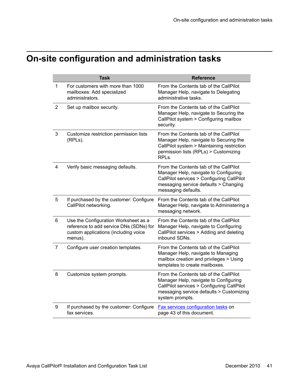# **On-site configuration and administration tasks**

|                | <b>Task</b>                                                                                                                        | <b>Reference</b>                                                                                                                                                                              |
|----------------|------------------------------------------------------------------------------------------------------------------------------------|-----------------------------------------------------------------------------------------------------------------------------------------------------------------------------------------------|
| 1              | For customers with more than 1000<br>mailboxes: Add specialized<br>administrators.                                                 | From the Contents tab of the CallPilot<br>Manager Help, navigate to Delegating<br>administrative tasks.                                                                                       |
| $\overline{2}$ | Set up mailbox security.                                                                                                           | From the Contents tab of the CallPilot<br>Manager Help, navigate to Securing the<br>CallPilot system > Configuring mailbox<br>security.                                                       |
| 3              | Customize restriction permission lists<br>(RPLs).                                                                                  | From the Contents tab of the CallPilot<br>Manager Help, navigate to Securing the<br>CallPilot system > Maintaining restriction<br>permission lists (RPLs) > Customizing<br>RPLs.              |
| 4              | Verify basic messaging defaults.                                                                                                   | From the Contents tab of the CallPilot<br>Manager Help, navigate to Configuring<br>CallPilot services > Configuring CallPilot<br>messaging service defaults > Changing<br>messaging defaults. |
| 5              | If purchased by the customer: Configure<br>CallPilot networking.                                                                   | From the Contents tab of the CallPilot<br>Manager Help, navigate to Administering a<br>messaging network.                                                                                     |
| 6              | Use the Configuration Worksheet as a<br>reference to add service DNs (SDNs) for<br>custom applications (including voice<br>menus). | From the Contents tab of the CallPilot<br>Manager Help, navigate to Configuring<br>CallPilot services > Adding and deleting<br>inbound SDNs.                                                  |
| 7              | Configure user creation templates.                                                                                                 | From the Contents tab of the CallPilot<br>Manager Help, navigate to Managing<br>mailbox creation and privileges > Using<br>templates to create mailboxes.                                     |
| 8              | Customize system prompts.                                                                                                          | From the Contents tab of the CallPilot<br>Manager Help, navigate to Configuring<br>CallPilot services > Configuring CallPilot<br>messaging service defaults > Customizing<br>system prompts.  |
| 9              | If purchased by the customer: Configure<br>fax services.                                                                           | Fax services configuration tasks on<br>page 43 of this document.                                                                                                                              |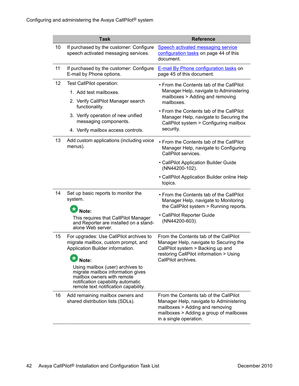|    | <b>Task</b>                                                                                                                                                                                                                                                                                                                | <b>Reference</b>                                                                                                                                                                                                                                                                  |
|----|----------------------------------------------------------------------------------------------------------------------------------------------------------------------------------------------------------------------------------------------------------------------------------------------------------------------------|-----------------------------------------------------------------------------------------------------------------------------------------------------------------------------------------------------------------------------------------------------------------------------------|
| 10 | If purchased by the customer: Configure<br>speech activated messaging services.                                                                                                                                                                                                                                            | Speech activated messaging service<br>configuration tasks on page 44 of this<br>document.                                                                                                                                                                                         |
| 11 | If purchased by the customer: Configure<br>E-mail by Phone options.                                                                                                                                                                                                                                                        | <b>E-mail By Phone configuration tasks on</b><br>page 45 of this document.                                                                                                                                                                                                        |
| 12 | Test CallPilot operation:<br>1. Add test mailboxes.<br>2. Verify CallPilot Manager search<br>functionality.<br>3. Verify operation of new unified<br>messaging components.<br>4. Verify mailbox access controls.                                                                                                           | • From the Contents tab of the CallPilot<br>Manager Help, navigate to Administering<br>mailboxes > Adding and removing<br>mailboxes.<br>• From the Contents tab of the CallPilot<br>Manager Help, navigate to Securing the<br>CallPilot system > Configuring mailbox<br>security. |
| 13 | Add custom applications (including voice<br>menus).                                                                                                                                                                                                                                                                        | • From the Contents tab of the CallPilot<br>Manager Help, navigate to Configuring<br>CallPilot services.<br>• CallPilot Application Builder Guide<br>(NN44200-102).<br>• CallPilot Application Builder online Help<br>topics.                                                     |
| 14 | Set up basic reports to monitor the<br>system.<br>Note:<br>This requires that CallPilot Manager<br>and Reporter are installed on a stand-<br>alone Web server.                                                                                                                                                             | • From the Contents tab of the CallPilot<br>Manager Help, navigate to Monitoring<br>the CallPilot system > Running reports.<br>• CallPilot Reporter Guide<br>(NN44200-603).                                                                                                       |
| 15 | For upgrades: Use CallPilot archives to<br>migrate mailbox, custom prompt, and<br>Application Builder information.<br>$\star$<br>Note:<br>Using mailbox (user) archives to<br>migrate mailbox information gives<br>mailbox owners with remote<br>notification capability automatic<br>remote text notification capability. | From the Contents tab of the CallPilot<br>Manager Help, navigate to Securing the<br>CallPilot system > Backing up and<br>restoring CallPilot information > Using<br>CallPilot archives.                                                                                           |
| 16 | Add remaining mailbox owners and<br>shared distribution lists (SDLs).                                                                                                                                                                                                                                                      | From the Contents tab of the CallPilot<br>Manager Help, navigate to Administering<br>mailboxes > Adding and removing<br>mailboxes > Adding a group of mailboxes<br>in a single operation.                                                                                         |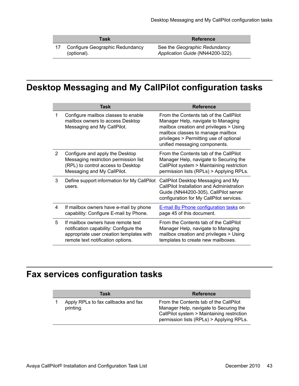<span id="page-42-0"></span>17 Configure Geographic Redundancy (optional).

**Task Reference**

See the *Geographic Redundancy Application Guide* (NN44200-322).

# **Desktop Messaging and My CallPilot configuration tasks**

|                | <b>Task</b>                                                                                                                                                   | <b>Reference</b>                                                                                                                                                                                                                         |
|----------------|---------------------------------------------------------------------------------------------------------------------------------------------------------------|------------------------------------------------------------------------------------------------------------------------------------------------------------------------------------------------------------------------------------------|
| 1              | Configure mailbox classes to enable<br>mailbox owners to access Desktop<br>Messaging and My CallPilot.                                                        | From the Contents tab of the CallPilot<br>Manager Help, navigate to Managing<br>mailbox creation and privileges > Using<br>mailbox classes to manage mailbox<br>privileges > Permitting use of optional<br>unified messaging components. |
| $\overline{2}$ | Configure and apply the Desktop<br>Messaging restriction permission list<br>(RPL) to control access to Desktop<br>Messaging and My CallPilot.                 | From the Contents tab of the CallPilot<br>Manager Help, navigate to Securing the<br>CallPilot system > Maintaining restriction<br>permission lists (RPLs) > Applying RPLs.                                                               |
| 3              | Define support information for My CallPilot<br>users.                                                                                                         | CallPilot Desktop Messaging and My<br><b>CallPilot Installation and Administration</b><br>Guide (NN44200-305), CallPilot server<br>configuration for My CallPilot services.                                                              |
| 4              | If mailbox owners have e-mail by phone<br>capability: Configure E-mail by Phone.                                                                              | <b>E-mail By Phone configuration tasks on</b><br>page 45 of this document.                                                                                                                                                               |
| 5              | If mailbox owners have remote text<br>notification capability: Configure the<br>appropriate user creation templates with<br>remote text notification options. | From the Contents tab of the CallPilot<br>Manager Help, navigate to Managing<br>mailbox creation and privileges > Using<br>templates to create new mailboxes.                                                                            |

# **Fax services configuration tasks**

| Task                                             | <b>Reference</b>                                                                                                                                                           |
|--------------------------------------------------|----------------------------------------------------------------------------------------------------------------------------------------------------------------------------|
| Apply RPLs to fax callbacks and fax<br>printing. | From the Contents tab of the CallPilot<br>Manager Help, navigate to Securing the<br>CallPilot system > Maintaining restriction<br>permission lists (RPLs) > Applying RPLs. |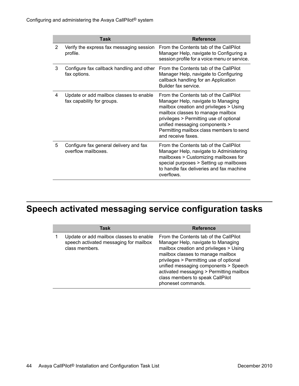<span id="page-43-0"></span>

|   | <b>Task</b>                                                           | <b>Reference</b>                                                                                                                                                                                                                                                                                            |
|---|-----------------------------------------------------------------------|-------------------------------------------------------------------------------------------------------------------------------------------------------------------------------------------------------------------------------------------------------------------------------------------------------------|
| 2 | Verify the express fax messaging session<br>profile.                  | From the Contents tab of the CallPilot<br>Manager Help, navigate to Configuring a<br>session profile for a voice menu or service.                                                                                                                                                                           |
| 3 | Configure fax callback handling and other<br>fax options.             | From the Contents tab of the CallPilot<br>Manager Help, navigate to Configuring<br>callback handling for an Application<br>Builder fax service.                                                                                                                                                             |
| 4 | Update or add mailbox classes to enable<br>fax capability for groups. | From the Contents tab of the CallPilot<br>Manager Help, navigate to Managing<br>mailbox creation and privileges > Using<br>mailbox classes to manage mailbox<br>privileges > Permitting use of optional<br>unified messaging components ><br>Permitting mailbox class members to send<br>and receive faxes. |
| 5 | Configure fax general delivery and fax<br>overflow mailboxes.         | From the Contents tab of the CallPilot<br>Manager Help, navigate to Administering<br>mailboxes > Customizing mailboxes for<br>special purposes > Setting up mailboxes<br>to handle fax deliveries and fax machine<br>overflows.                                                                             |

# **Speech activated messaging service configuration tasks**

| Task                                                                                                | <b>Reference</b>                                                                                                                                                                                                                                                                                                                                       |
|-----------------------------------------------------------------------------------------------------|--------------------------------------------------------------------------------------------------------------------------------------------------------------------------------------------------------------------------------------------------------------------------------------------------------------------------------------------------------|
| Update or add mailbox classes to enable<br>speech activated messaging for mailbox<br>class members. | From the Contents tab of the CallPilot<br>Manager Help, navigate to Managing<br>mailbox creation and privileges > Using<br>mailbox classes to manage mailbox<br>privileges > Permitting use of optional<br>unified messaging components > Speech<br>activated messaging > Permitting mailbox<br>class members to speak CallPilot<br>phoneset commands. |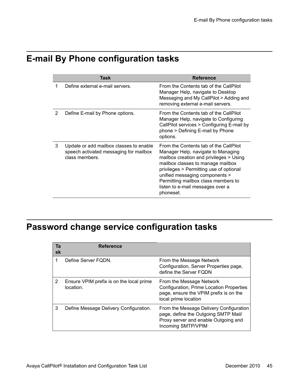# <span id="page-44-0"></span>**E-mail By Phone configuration tasks**

|   | Task                                                                                                | <b>Reference</b>                                                                                                                                                                                                                                                                                                                  |
|---|-----------------------------------------------------------------------------------------------------|-----------------------------------------------------------------------------------------------------------------------------------------------------------------------------------------------------------------------------------------------------------------------------------------------------------------------------------|
| 1 | Define external e-mail servers.                                                                     | From the Contents tab of the CallPilot<br>Manager Help, navigate to Desktop<br>Messaging and My CallPilot > Adding and<br>removing external e-mail servers.                                                                                                                                                                       |
| 2 | Define E-mail by Phone options.                                                                     | From the Contents tab of the CallPilot<br>Manager Help, navigate to Configuring<br>CallPilot services > Configuring E-mail by<br>phone > Defining E-mail by Phone<br>options.                                                                                                                                                     |
| 3 | Update or add mailbox classes to enable<br>speech activated messaging for mailbox<br>class members. | From the Contents tab of the CallPilot<br>Manager Help, navigate to Managing<br>mailbox creation and privileges > Using<br>mailbox classes to manage mailbox<br>privileges > Permitting use of optional<br>unified messaging components ><br>Permitting mailbox class members to<br>listen to e-mail messages over a<br>phoneset. |

# **Password change service configuration tasks**

| Та<br>sk       | <b>Reference</b>                                      |                                                                                                                                               |
|----------------|-------------------------------------------------------|-----------------------------------------------------------------------------------------------------------------------------------------------|
|                | Define Server FQDN.                                   | From the Message Network<br>Configuration, Server Properties page,<br>define the Server FQDN                                                  |
| $\overline{2}$ | Ensure VPIM prefix is on the local prime<br>location. | From the Message Network<br>Configuration, Prime Location Properties<br>page, ensure the VPIM prefix is on the<br>local prime location        |
| 3              | Define Message Delivery Configuration.                | From the Message Delivery Configuration<br>page, define the Outgoing SMTP Mail/<br>Proxy server and enable Outgoing and<br>Incoming SMTP/VPIM |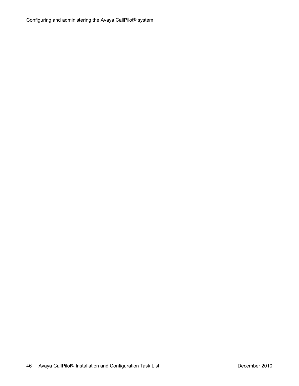Configuring and administering the Avaya CallPilot® system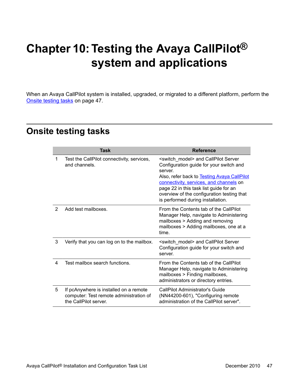# **Chapter 10:Testing the Avaya CallPilot® system and applications**

When an Avaya CallPilot system is installed, upgraded, or migrated to a different platform, perform the Onsite testing tasks on page 47.

# **Onsite testing tasks**

|   | Task                                                                                                       | <b>Reference</b>                                                                                                                                                                                                                                                                                                                       |
|---|------------------------------------------------------------------------------------------------------------|----------------------------------------------------------------------------------------------------------------------------------------------------------------------------------------------------------------------------------------------------------------------------------------------------------------------------------------|
| 1 | Test the CallPilot connectivity, services,<br>and channels.                                                | <switch_model> and CallPilot Server<br/>Configuration guide for your switch and<br/>server.<br/>Also, refer back to Testing Avaya CallPilot<br/>connectivity, services, and channels on<br/>page 22 in this task list guide for an<br/>overview of the configuration testing that<br/>is performed during installation.</switch_model> |
| 2 | Add test mailboxes.                                                                                        | From the Contents tab of the CallPilot<br>Manager Help, navigate to Administering<br>mailboxes > Adding and removing<br>mailboxes > Adding mailboxes, one at a<br>time.                                                                                                                                                                |
| 3 | Verify that you can log on to the mailbox.                                                                 | <switch_model> and CallPilot Server<br/>Configuration guide for your switch and<br/>server.</switch_model>                                                                                                                                                                                                                             |
| 4 | Test mailbox search functions.                                                                             | From the Contents tab of the CallPilot<br>Manager Help, navigate to Administering<br>mailboxes > Finding mailboxes,<br>administrators or directory entries.                                                                                                                                                                            |
| 5 | If pcAnywhere is installed on a remote<br>computer: Test remote administration of<br>the CallPilot server. | CallPilot Administrator's Guide<br>(NN44200-601), "Configuring remote<br>administration of the CallPilot server".                                                                                                                                                                                                                      |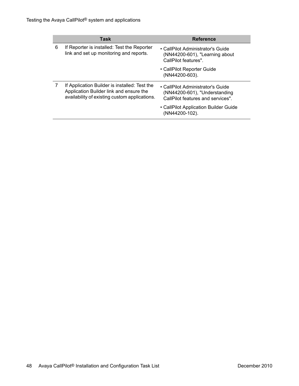|   | <b>Task</b>                                                                                                                               | <b>Reference</b>                                                                                        |
|---|-------------------------------------------------------------------------------------------------------------------------------------------|---------------------------------------------------------------------------------------------------------|
| 6 | If Reporter is installed: Test the Reporter<br>link and set up monitoring and reports.                                                    | • CallPilot Administrator's Guide<br>(NN44200-601), "Learning about<br>CallPilot features".             |
|   |                                                                                                                                           | • CallPilot Reporter Guide<br>(NN44200-603).                                                            |
| 7 | If Application Builder is installed: Test the<br>Application Builder link and ensure the<br>availability of existing custom applications. | • CallPilot Administrator's Guide<br>(NN44200-601), "Understanding<br>CallPilot features and services". |
|   |                                                                                                                                           | • CallPilot Application Builder Guide<br>(NN44200-102).                                                 |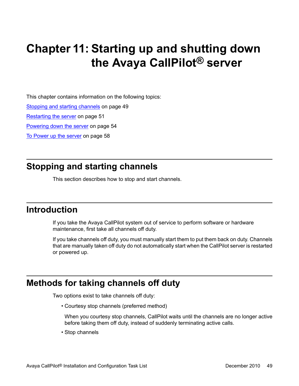# <span id="page-48-0"></span>**Chapter 11: Starting up and shutting down the Avaya CallPilot® server**

This chapter contains information on the following topics:

Stopping and starting channels on page 49

[Restarting](#page-50-0) the server on page 51

[Powering](#page-53-0) down the server on page 54

To [Power](#page-57-0) up the server on page 58

# **Stopping and starting channels**

This section describes how to stop and start channels.

# **Introduction**

If you take the Avaya CallPilot system out of service to perform software or hardware maintenance, first take all channels off duty.

If you take channels off duty, you must manually start them to put them back on duty. Channels that are manually taken off duty do not automatically start when the CallPilot server is restarted or powered up.

# **Methods for taking channels off duty**

Two options exist to take channels off duty:

• Courtesy stop channels (preferred method)

When you courtesy stop channels, CallPilot waits until the channels are no longer active before taking them off duty, instead of suddenly terminating active calls.

• Stop channels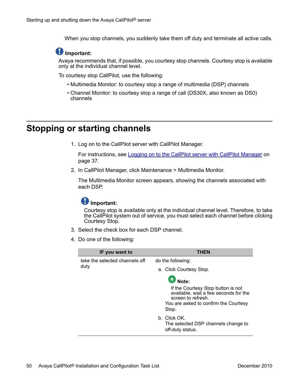When you stop channels, you suddenly take them off duty and terminate all active calls.

## $\bullet$  Important:

Avaya recommends that, if possible, you courtesy stop channels. Courtesy stop is available only at the individual channel level.

To courtesy stop CallPilot, use the following:

- Multimedia Monitor: to courtesy stop a range of multimedia (DSP) channels
- Channel Monitor: to courtesy stop a range of call (DS30X, also known as DS0) channels

# **Stopping or starting channels**

1. Log on to the CallPilot server with CallPilot Manager.

For instructions, see Logging on to the CallPilot server with CallPilot [Manager](#page-36-0) on page 37.

2. In CallPilot Manager, click Maintenance > Multimedia Monitor.

The Multimedia Monitor screen appears, showing the channels associated with each DSP.

# $\bigoplus$  Important:

Courtesy stop is available only at the individual channel level. Therefore, to take the CallPilot system out of service, you must select each channel before clicking Courtesy Stop.

- 3. Select the check box for each DSP channel.
- 4. Do one of the following:

| IF you want to                         | THEN                                                                                                                                                         |
|----------------------------------------|--------------------------------------------------------------------------------------------------------------------------------------------------------------|
| take the selected channels off<br>duty | do the following:                                                                                                                                            |
|                                        | a. Click Courtesy Stop.                                                                                                                                      |
|                                        | Note:<br>If the Courtesy Stop button is not<br>available, wait a few seconds for the<br>screen to refresh.<br>You are asked to confirm the Courtesy<br>Stop. |
|                                        | b. Click OK.<br>The selected DSP channels change to<br>off-duty status.                                                                                      |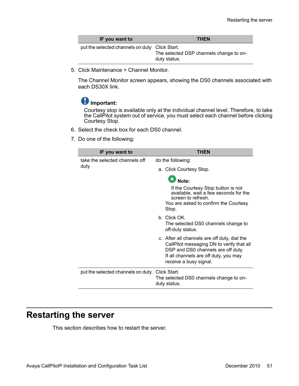<span id="page-50-0"></span>

| IF you want to                                 | <b>THEN</b>                                             |
|------------------------------------------------|---------------------------------------------------------|
| put the selected channels on duty Click Start. | The selected DSP channels change to on-<br>duty status. |

5. Click Maintenance > Channel Monitor.

The Channel Monitor screen appears, showing the DS0 channels associated with each DS30X link.



Courtesy stop is available only at the individual channel level. Therefore, to take the CallPilot system out of service, you must select each channel before clicking Courtesy Stop.

- 6. Select the check box for each DS0 channel.
- 7. Do one of the following:

| IF you want to                         | <b>THEN</b>                                                                                                                                                                                        |
|----------------------------------------|----------------------------------------------------------------------------------------------------------------------------------------------------------------------------------------------------|
| take the selected channels off<br>duty | do the following:                                                                                                                                                                                  |
|                                        | a. Click Courtesy Stop.                                                                                                                                                                            |
|                                        | Note <sup>-</sup><br>If the Courtesy Stop button is not<br>available, wait a few seconds for the<br>screen to refresh.<br>You are asked to confirm the Courtesy                                    |
|                                        | Stop.                                                                                                                                                                                              |
|                                        | b. Click OK.<br>The selected DS0 channels change to<br>off-duty status.                                                                                                                            |
|                                        | c. After all channels are off duty, dial the<br>CallPilot messaging DN to verify that all<br>DSP and DS0 channels are off duty.<br>If all channels are off duty, you may<br>receive a busy signal. |
| put the selected channels on duty      | Click Start.<br>The selected DS0 channels change to on-<br>duty status.                                                                                                                            |

# **Restarting the server**

This section describes how to restart the server.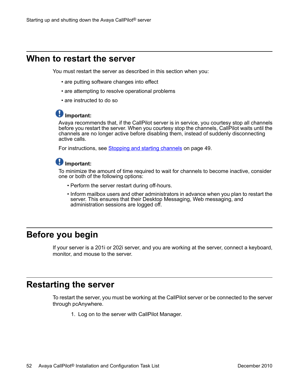### **When to restart the server**

You must restart the server as described in this section when you:

- are putting software changes into effect
- are attempting to resolve operational problems
- are instructed to do so

#### **Important:**

Avaya recommends that, if the CallPilot server is in service, you courtesy stop all channels before you restart the server. When you courtesy stop the channels, CallPilot waits until the channels are no longer active before disabling them, instead of suddenly disconnecting active calls.

For instructions, see Stopping and starting [channels](#page-48-0) on page 49.

### **Important:**

To minimize the amount of time required to wait for channels to become inactive, consider one or both of the following options:

- Perform the server restart during off-hours.
- Inform mailbox users and other administrators in advance when you plan to restart the server. This ensures that their Desktop Messaging, Web messaging, and administration sessions are logged off.

# **Before you begin**

If your server is a 201i or 202i server, and you are working at the server, connect a keyboard, monitor, and mouse to the server.

# **Restarting the server**

To restart the server, you must be working at the CallPilot server or be connected to the server through pcAnywhere.

1. Log on to the server with CallPilot Manager.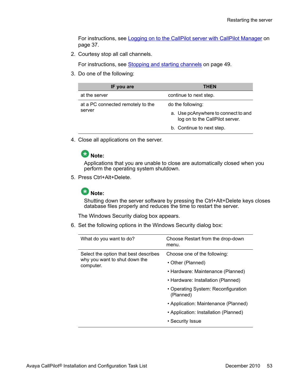For instructions, see Logging on to the CallPilot server with CallPilot [Manager](#page-36-0) on page 37.

2. Courtesy stop all call channels.

For instructions, see [Stopping](#page-48-0) and starting channels on page 49.

3. Do one of the following:

| IF you are                                  | THEN                                                                   |
|---------------------------------------------|------------------------------------------------------------------------|
| at the server                               | continue to next step.                                                 |
| at a PC connected remotely to the<br>server | do the following:                                                      |
|                                             | a. Use pcAnywhere to connect to and<br>log on to the CallPilot server. |
|                                             | b. Continue to next step.                                              |

4. Close all applications on the server.



Applications that you are unable to close are automatically closed when you perform the operating system shutdown.

5. Press Ctrl+Alt+Delete.



Shutting down the server software by pressing the Ctrl+Alt+Delete keys closes database files properly and reduces the time to restart the server.

The Windows Security dialog box appears.

6. Set the following options in the Windows Security dialog box:

| What do you want to do?                                                             | Choose Restart from the drop-down<br>menu.       |
|-------------------------------------------------------------------------------------|--------------------------------------------------|
| Select the option that best describes<br>why you want to shut down the<br>computer. | Choose one of the following:                     |
|                                                                                     | • Other (Planned)                                |
|                                                                                     | • Hardware: Maintenance (Planned)                |
|                                                                                     | • Hardware: Installation (Planned)               |
|                                                                                     | • Operating System: Reconfiguration<br>(Planned) |
|                                                                                     | • Application: Maintenance (Planned)             |
|                                                                                     | • Application: Installation (Planned)            |
|                                                                                     | • Security Issue                                 |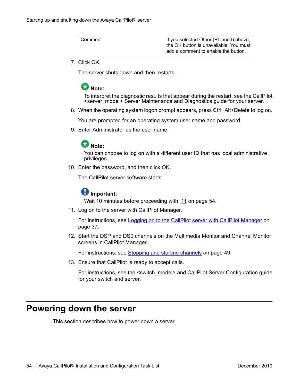<span id="page-53-0"></span>

| Comment | If you selected Other (Planned) above, |
|---------|----------------------------------------|
|         | the OK button is unavailable. You must |
|         | add a comment to enable the button.    |

7. Click OK.

The server shuts down and then restarts.

### $\bullet$  Note:

To interpret the diagnostic results that appear during the restart, see the CallPilot <server\_model> Server Maintenance and Diagnostics guide for your server.

8. When the operating system logon prompt appears, press Ctrl+Alt+Delete to log on.

You are prompted for an operating system user name and password.

9. Enter Administrator as the user name.



You can choose to log on with a different user ID that has local administrative privileges.

10. Enter the password, and then click OK.

The CallPilot server software starts.

### $\bigoplus$  Important:

Wait 10 minutes before proceeding with 11 on page 54.

11. Log on to the server with CallPilot Manager.

For instructions, see Logging on to the CallPilot server with CallPilot [Manager](#page-36-0) on page 37.

12. Start the DSP and DS0 channels on the Multimedia Monitor and Channel Monitor screens in CallPilot Manager.

For instructions, see [Stopping](#page-48-0) and starting channels on page 49.

13. Ensure that CallPilot is ready to accept calls.

For instructions, see the <switch\_model> and CallPilot Server Configuration guide for your switch and server.

### **Powering down the server**

This section describes how to power down a server.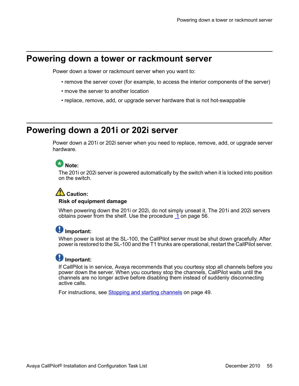# **Powering down a tower or rackmount server**

Power down a tower or rackmount server when you want to:

- remove the server cover (for example, to access the interior components of the server)
- move the server to another location
- replace, remove, add, or upgrade server hardware that is not hot-swappable

# **Powering down a 201i or 202i server**

Power down a 201i or 202i server when you need to replace, remove, add, or upgrade server hardware.

# $\bigcirc$  Note:

The 201i or 202i server is powered automatically by the switch when it is locked into position on the switch.

### **A** Caution:

#### **Risk of equipment damage**

When powering down the 201i or 202i, do not simply unseat it. The 201i and 202i servers obtains power from the shelf. Use the procedure  $\overline{1}$  $\overline{1}$  $\overline{1}$  on page 56.

### **Important:**

When power is lost at the SL-100, the CallPilot server must be shut down gracefully. After power is restored to the SL-100 and the T1 trunks are operational, restart the CallPilot server.

### **Important:**

If CallPilot is in service, Avaya recommends that you courtesy stop all channels before you power down the server. When you courtesy stop the channels, CallPilot waits until the channels are no longer active before disabling them instead of suddenly disconnecting active calls.

For instructions, see Stopping and starting [channels](#page-48-0) on page 49.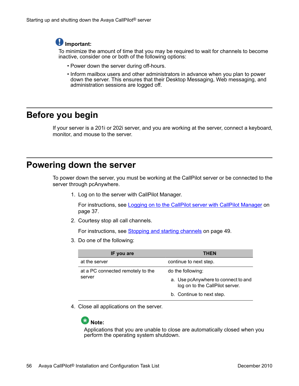# <span id="page-55-0"></span> **Important:**

To minimize the amount of time that you may be required to wait for channels to become inactive, consider one or both of the following options:

- Power down the server during off-hours.
- Inform mailbox users and other administrators in advance when you plan to power down the server. This ensures that their Desktop Messaging, Web messaging, and administration sessions are logged off.

# **Before you begin**

If your server is a 201i or 202i server, and you are working at the server, connect a keyboard, monitor, and mouse to the server.

#### **Powering down the server**

To power down the server, you must be working at the CallPilot server or be connected to the server through pcAnywhere.

1. Log on to the server with CallPilot Manager.

For instructions, see Logging on to the CallPilot server with CallPilot [Manager](#page-36-0) on page 37.

2. Courtesy stop all call channels.

For instructions, see [Stopping](#page-48-0) and starting channels on page 49.

3. Do one of the following:

| IF you are                        | THEN                                                                   |
|-----------------------------------|------------------------------------------------------------------------|
| at the server                     | continue to next step.                                                 |
| at a PC connected remotely to the | do the following:                                                      |
| server                            | a. Use pcAnywhere to connect to and<br>log on to the CallPilot server. |
|                                   | b. Continue to next step.                                              |

4. Close all applications on the server.



Applications that you are unable to close are automatically closed when you perform the operating system shutdown.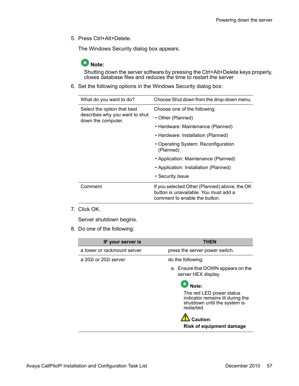5. Press Ctrl+Alt+Delete.

The Windows Security dialog box appears.



Shutting down the server software by pressing the Ctrl+Alt+Delete keys properly, closes database files and reduces the time to restart the server

6. Set the following options in the Windows Security dialog box:

| What do you want to do?                                                             | Choose Shut down from the drop-down menu.                                                                               |
|-------------------------------------------------------------------------------------|-------------------------------------------------------------------------------------------------------------------------|
| Select the option that best<br>describes why you want to shut<br>down the computer. | Choose one of the following:                                                                                            |
|                                                                                     | • Other (Planned)                                                                                                       |
|                                                                                     | • Hardware: Maintenance (Planned)                                                                                       |
|                                                                                     | • Hardware: Installation (Planned)                                                                                      |
|                                                                                     | • Operating System: Reconfiguration<br>(Planned)                                                                        |
|                                                                                     | • Application: Maintenance (Planned)                                                                                    |
|                                                                                     | • Application: Installation (Planned)                                                                                   |
|                                                                                     | • Security Issue                                                                                                        |
| Comment                                                                             | If you selected Other (Planned) above, the OK<br>button is unavailable. You must add a<br>comment to enable the button. |

7. Click OK.

Server shutdown begins.

8. Do one of the following:

| IF your server is           | THEN                                                                                                                                                               |
|-----------------------------|--------------------------------------------------------------------------------------------------------------------------------------------------------------------|
| a tower or rackmount server | press the server power switch.                                                                                                                                     |
| a 202i or 202i server       | do the following:                                                                                                                                                  |
|                             | a. Ensure that DOWN appears on the<br>server HEX display.                                                                                                          |
|                             | Note:<br>The red LED power status<br>indicator remains lit during the<br>shutdown until the system is<br>restarted.<br>`aution'<br><b>Risk of equipment damage</b> |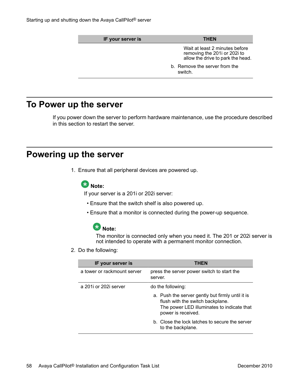<span id="page-57-0"></span>

| IF your server is | THEN                                                                                                |
|-------------------|-----------------------------------------------------------------------------------------------------|
|                   | Wait at least 2 minutes before<br>removing the 201i or 202i to<br>allow the drive to park the head. |
|                   | b. Remove the server from the<br>switch.                                                            |

# **To Power up the server**

If you power down the server to perform hardware maintenance, use the procedure described in this section to restart the server.

# **Powering up the server**

1. Ensure that all peripheral devices are powered up.



If your server is a 201i or 202i server:

- Ensure that the switch shelf is also powered up.
- Ensure that a monitor is connected during the power-up sequence.

### $\bullet$  Note:

The monitor is connected only when you need it. The 201 or 202i server is not intended to operate with a permanent monitor connection.

2. Do the following:

| IF your server is           | THEN                                                                                                                                                     |
|-----------------------------|----------------------------------------------------------------------------------------------------------------------------------------------------------|
| a tower or rackmount server | press the server power switch to start the<br>server.                                                                                                    |
| a 201 or 202 server         | do the following:                                                                                                                                        |
|                             | a. Push the server gently but firmly until it is<br>flush with the switch backplane.<br>The power LED illuminates to indicate that<br>power is received. |
|                             | b. Close the lock latches to secure the server<br>to the backplane.                                                                                      |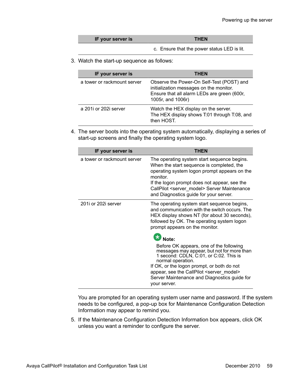c. Ensure that the power status LED is lit.

3. Watch the start-up sequence as follows:

| IF your server is           | THEN                                                                                                                                                     |
|-----------------------------|----------------------------------------------------------------------------------------------------------------------------------------------------------|
| a tower or rackmount server | Observe the Power-On Self-Test (POST) and<br>initialization messages on the monitor.<br>Ensure that all alarm LEDs are green (600r,<br>1005r, and 1006r) |
| a 201 or 202 server         | Watch the HEX display on the server.<br>The HEX display shows T:01 through T:08, and<br>then HOST.                                                       |

4. The server boots into the operating system automatically, displaying a series of start-up screens and finally the operating system logo.

| IF your server is           | <b>THEN</b>                                                                                                                                                                                                                                                                                                                           |
|-----------------------------|---------------------------------------------------------------------------------------------------------------------------------------------------------------------------------------------------------------------------------------------------------------------------------------------------------------------------------------|
| a tower or rackmount server | The operating system start sequence begins.<br>When the start sequence is completed, the<br>operating system logon prompt appears on the<br>monitor.<br>If the logon prompt does not appear, see the<br>CallPilot <server_model> Server Maintenance<br/>and Diagnostics guide for your server.</server_model>                         |
| 201i or 202i server         | The operating system start sequence begins,<br>and communication with the switch occurs. The<br>HEX display shows NT (for about 30 seconds),<br>followed by OK. The operating system logon<br>prompt appears on the monitor.                                                                                                          |
|                             | Note:<br>Before OK appears, one of the following<br>messages may appear, but not for more than<br>1 second: CDLN, C:01, or C:02. This is<br>normal operation.<br>If OK, or the logon prompt, or both do not<br>appear, see the CallPilot <server model=""><br/>Server Maintenance and Diagnostics guide for<br/>your server.</server> |

You are prompted for an operating system user name and password. If the system needs to be configured, a pop-up box for Maintenance Configuration Detection Information may appear to remind you.

5. If the Maintenance Configuration Detection Information box appears, click OK unless you want a reminder to configure the server.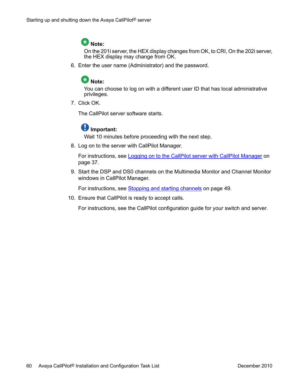

On the 201i server, the HEX display changes from OK, to CRI, On the 202i server, the HEX display may change from OK.

6. Enter the user name (Administrator) and the password.

## $\bullet$  Note:

You can choose to log on with a different user ID that has local administrative privileges.

7. Click OK.

The CallPilot server software starts.



Wait 10 minutes before proceeding with the next step.

8. Log on to the server with CallPilot Manager.

For instructions, see Logging on to the CallPilot server with CallPilot [Manager](#page-36-0) on page 37.

9. Start the DSP and DS0 channels on the Multimedia Monitor and Channel Monitor windows in CallPilot Manager.

For instructions, see [Stopping](#page-48-0) and starting channels on page 49.

10. Ensure that CallPilot is ready to accept calls.

For instructions, see the CallPilot configuration guide for your switch and server.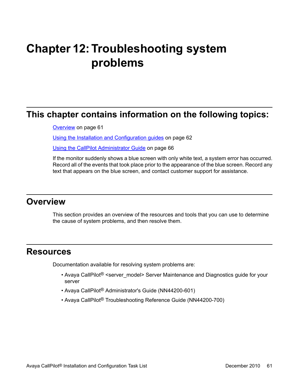# **Chapter 12:Troubleshooting system problems**

# **This chapter contains information on the following topics:**

Overview on page 61

Using the Installation and [Configuration](#page-61-0) guides on page 62

Using the CallPilot [Administrator](#page-65-0) Guide on page 66

If the monitor suddenly shows a blue screen with only white text, a system error has occurred. Record all of the events that took place prior to the appearance of the blue screen. Record any text that appears on the blue screen, and contact customer support for assistance.

### **Overview**

This section provides an overview of the resources and tools that you can use to determine the cause of system problems, and then resolve them.

# **Resources**

Documentation available for resolving system problems are:

- Avaya CallPilot<sup>®</sup> <server\_model> Server Maintenance and Diagnostics guide for your server
- Avaya CallPilot® Administrator's Guide (NN44200-601)
- Avaya CallPilot® Troubleshooting Reference Guide (NN44200-700)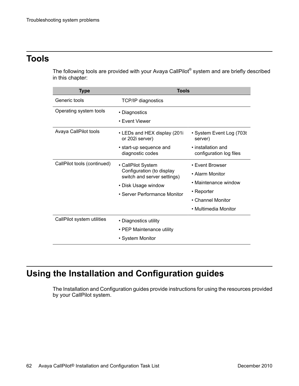# <span id="page-61-0"></span>**Tools**

The following tools are provided with your Avaya CallPilot® system and are briefly described in this chapter:

| <b>Type</b>                 | <b>Tools</b>                                                                                                                          |                                                                                                                       |
|-----------------------------|---------------------------------------------------------------------------------------------------------------------------------------|-----------------------------------------------------------------------------------------------------------------------|
| Generic tools               | <b>TCP/IP diagnostics</b>                                                                                                             |                                                                                                                       |
| Operating system tools      | • Diagnostics<br>• Event Viewer                                                                                                       |                                                                                                                       |
| Avaya CallPilot tools       | • LEDs and HEX display (201i<br>or 202i server)<br>• start-up sequence and<br>diagnostic codes                                        | • System Event Log (703t<br>server)<br>• installation and<br>configuration log files                                  |
| CallPilot tools (continued) | • CallPilot System<br>Configuration (to display<br>switch and server settings)<br>• Disk Usage window<br>• Server Performance Monitor | • Event Browser<br>• Alarm Monitor<br>• Maintenance window<br>• Reporter<br>• Channel Monitor<br>• Multimedia Monitor |
| CallPilot system utilities  | • Diagnostics utility<br>• PEP Maintenance utility<br>• System Monitor                                                                |                                                                                                                       |

# **Using the Installation and Configuration guides**

The Installation and Configuration guides provide instructions for using the resources provided by your CallPilot system.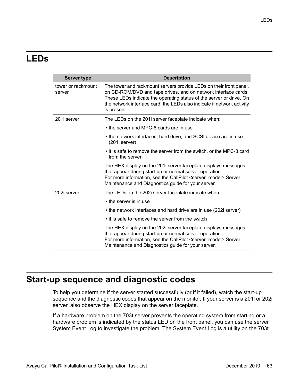| <b>Server type</b>           | <b>Description</b>                                                                                                                                                                                                                                                                                   |
|------------------------------|------------------------------------------------------------------------------------------------------------------------------------------------------------------------------------------------------------------------------------------------------------------------------------------------------|
| tower or rackmount<br>server | The tower and rackmount servers provide LEDs on their front panel,<br>on CD-ROM/DVD and tape drives, and on network interface cards.<br>These LEDs indicate the operating status of the server or drive. On<br>the network interface card, the LEDs also indicate if network activity<br>is present. |
| 201i server                  | The LEDs on the 201 server faceplate indicate when:                                                                                                                                                                                                                                                  |
|                              | • the server and MPC-8 cards are in use                                                                                                                                                                                                                                                              |
|                              | • the network interfaces, hard drive, and SCSI device are in use<br>(201i server)                                                                                                                                                                                                                    |
|                              | • it is safe to remove the server from the switch, or the MPC-8 card<br>from the server                                                                                                                                                                                                              |
|                              | The HEX display on the 201 server faceplate displays messages<br>that appear during start-up or normal server operation.<br>For more information, see the CallPilot <server model=""> Server<br/>Maintenance and Diagnostics guide for your server.</server>                                         |
| 202i server                  | The LEDs on the 202i server faceplate indicate when:                                                                                                                                                                                                                                                 |
|                              | • the server is in use                                                                                                                                                                                                                                                                               |
|                              | • the network interfaces and hard drive are in use (202i server)                                                                                                                                                                                                                                     |
|                              | • it is safe to remove the server from the switch                                                                                                                                                                                                                                                    |
|                              | The HEX display on the 202i server faceplate displays messages<br>that appear during start-up or normal server operation.<br>For more information, see the CallPilot <server_model> Server<br/>Maintenance and Diagnostics guide for your server.</server_model>                                     |

# **Start-up sequence and diagnostic codes**

To help you determine if the server started successfully (or if it failed), watch the start-up sequence and the diagnostic codes that appear on the monitor. If your server is a 201i or 202i server, also observe the HEX display on the server faceplate.

If a hardware problem on the 703t server prevents the operating system from starting or a hardware problem is indicated by the status LED on the front panel, you can use the server System Event Log to investigate the problem. The System Event Log is a utility on the 703t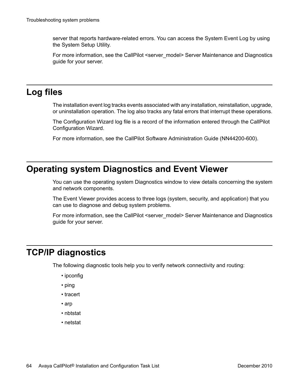server that reports hardware-related errors. You can access the System Event Log by using the System Setup Utility.

For more information, see the CallPilot <server\_model> Server Maintenance and Diagnostics guide for your server.

# **Log files**

The installation event log tracks events associated with any installation, reinstallation, upgrade, or uninstallation operation. The log also tracks any fatal errors that interrupt these operations.

The Configuration Wizard log file is a record of the information entered through the CallPilot Configuration Wizard.

For more information, see the CallPilot Software Administration Guide (NN44200-600).

# **Operating system Diagnostics and Event Viewer**

You can use the operating system Diagnostics window to view details concerning the system and network components.

The Event Viewer provides access to three logs (system, security, and application) that you can use to diagnose and debug system problems.

For more information, see the CallPilot <server model> Server Maintenance and Diagnostics guide for your server.

# **TCP/IP diagnostics**

The following diagnostic tools help you to verify network connectivity and routing:

- ipconfig
- ping
- tracert
- arp
- nbtstat
- netstat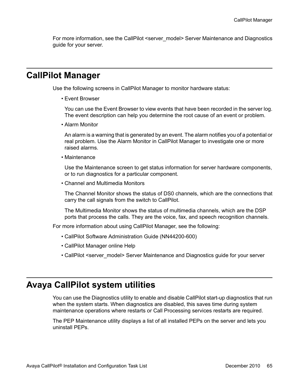For more information, see the CallPilot <server\_model> Server Maintenance and Diagnostics guide for your server.

## **CallPilot Manager**

Use the following screens in CallPilot Manager to monitor hardware status:

• Event Browser

You can use the Event Browser to view events that have been recorded in the server log. The event description can help you determine the root cause of an event or problem.

• Alarm Monitor

An alarm is a warning that is generated by an event. The alarm notifies you of a potential or real problem. Use the Alarm Monitor in CallPilot Manager to investigate one or more raised alarms.

• Maintenance

Use the Maintenance screen to get status information for server hardware components, or to run diagnostics for a particular component.

• Channel and Multimedia Monitors

The Channel Monitor shows the status of DS0 channels, which are the connections that carry the call signals from the switch to CallPilot.

The Multimedia Monitor shows the status of multimedia channels, which are the DSP ports that process the calls. They are the voice, fax, and speech recognition channels.

For more information about using CallPilot Manager, see the following:

- CallPilot Software Administration Guide (NN44200-600)
- CallPilot Manager online Help
- CallPilot <server\_model> Server Maintenance and Diagnostics guide for your server

### **Avaya CallPilot system utilities**

You can use the Diagnostics utility to enable and disable CallPilot start-up diagnostics that run when the system starts. When diagnostics are disabled, this saves time during system maintenance operations where restarts or Call Processing services restarts are required.

The PEP Maintenance utility displays a list of all installed PEPs on the server and lets you uninstall PEPs.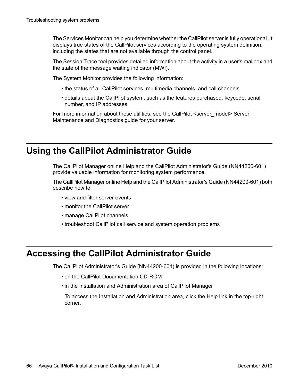<span id="page-65-0"></span>The Services Monitor can help you determine whether the CallPilot server is fully operational. It displays true states of the CallPilot services according to the operating system definition, including the states that are not available through the control panel.

The Session Trace tool provides detailed information about the activity in a user's mailbox and the state of the message waiting indicator (MWI).

The System Monitor provides the following information:

- the status of all CallPilot services, multimedia channels, and call channels
- details about the CallPilot system, such as the features purchased, keycode, serial number, and IP addresses

For more information about these utilities, see the CallPilot <server\_model> Server Maintenance and Diagnostics guide for your server.

# **Using the CallPilot Administrator Guide**

The CallPilot Manager online Help and the CallPilot Administrator's Guide (NN44200-601) provide valuable information for monitoring system performance.

The CallPilot Manager online Help and the CallPilot Administrator's Guide (NN44200-601) both describe how to:

- view and filter server events
- monitor the CallPilot server
- manage CallPilot channels
- troubleshoot CallPilot call service and system operation problems

# **Accessing the CallPilot Administrator Guide**

The CallPilot Administrator's Guide (NN44200-601) is provided in the following locations:

- on the CallPilot Documentation CD-ROM
- in the Installation and Administration area of CallPilot Manager

To access the Installation and Administration area, click the Help link in the top-right corner.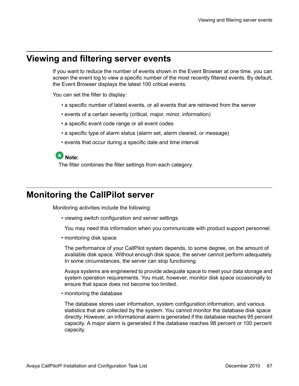# **Viewing and filtering server events**

If you want to reduce the number of events shown in the Event Browser at one time, you can screen the event log to view a specific number of the most recently filtered events. By default, the Event Browser displays the latest 100 critical events.

You can set the filter to display:

- a specific number of latest events, or all events that are retrieved from the server
- events of a certain severity (critical, major, minor, information)
- a specific event code range or all event codes
- a specific type of alarm status (alarm set, alarm cleared, or message)
- events that occur during a specific date and time interval

#### $\mathbf{D}_{\text{Note:}}$

The filter combines the filter settings from each category.

# **Monitoring the CallPilot server**

Monitoring activities include the following:

• viewing switch configuration and server settings

You may need this information when you communicate with product support personnel.

• monitoring disk space

The performance of your CallPilot system depends, to some degree, on the amount of available disk space. Without enough disk space, the server cannot perform adequately. In some circumstances, the server can stop functioning.

Avaya systems are engineered to provide adequate space to meet your data storage and system operation requirements. You must, however, monitor disk space occasionally to ensure that space does not become too limited.

• monitoring the database

The database stores user information, system configuration information, and various statistics that are collected by the system. You cannot monitor the database disk space directly. However, an informational alarm is generated if the database reaches 95 percent capacity. A major alarm is generated if the database reaches 98 percent or 100 percent capacity.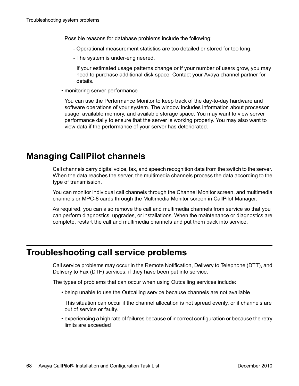Possible reasons for database problems include the following:

- Operational measurement statistics are too detailed or stored for too long.
- The system is under-engineered.

If your estimated usage patterns change or if your number of users grow, you may need to purchase additional disk space. Contact your Avaya channel partner for details.

• monitoring server performance

You can use the Performance Monitor to keep track of the day-to-day hardware and software operations of your system. The window includes information about processor usage, available memory, and available storage space. You may want to view server performance daily to ensure that the server is working properly. You may also want to view data if the performance of your server has deteriorated.

# **Managing CallPilot channels**

Call channels carry digital voice, fax, and speech recognition data from the switch to the server. When the data reaches the server, the multimedia channels process the data according to the type of transmission.

You can monitor individual call channels through the Channel Monitor screen, and multimedia channels or MPC-8 cards through the Multimedia Monitor screen in CallPilot Manager.

As required, you can also remove the call and multimedia channels from service so that you can perform diagnostics, upgrades, or installations. When the maintenance or diagnostics are complete, restart the call and multimedia channels and put them back into service.

# **Troubleshooting call service problems**

Call service problems may occur in the Remote Notification, Delivery to Telephone (DTT), and Delivery to Fax (DTF) services, if they have been put into service.

The types of problems that can occur when using Outcalling services include:

- being unable to use the Outcalling service because channels are not available
	- This situation can occur if the channel allocation is not spread evenly, or if channels are out of service or faulty.
- experiencing a high rate of failures because of incorrect configuration or because the retry limits are exceeded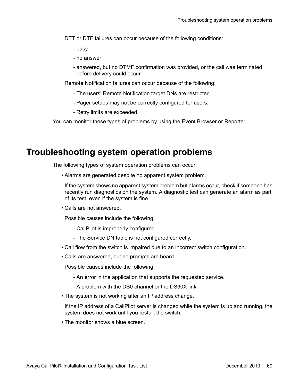DTT or DTF failures can occur because of the following conditions:

- busy
- no answer
- answered, but no DTMF confirmation was provided, or the call was terminated before delivery could occur

Remote Notification failures can occur because of the following:

- The users' Remote Notification target DNs are restricted.
- Pager setups may not be correctly configured for users.
- Retry limits are exceeded.

You can monitor these types of problems by using the Event Browser or Reporter.

### **Troubleshooting system operation problems**

The following types of system operation problems can occur:

• Alarms are generated despite no apparent system problem.

If the system shows no apparent system problem but alarms occur, check if someone has recently run diagnostics on the system. A diagnostic test can generate an alarm as part of its test, even if the system is fine.

• Calls are not answered.

Possible causes include the following:

- CallPilot is improperly configured.
- The Service DN table is not configured correctly.
- Call flow from the switch is impaired due to an incorrect switch configuration.
- Calls are answered, but no prompts are heard.

Possible causes include the following:

- An error in the application that supports the requested service.
- A problem with the DS0 channel or the DS30X link.
- The system is not working after an IP address change.

If the IP address of a CallPilot server is changed while the system is up and running, the system does not work until you restart the switch.

• The monitor shows a blue screen.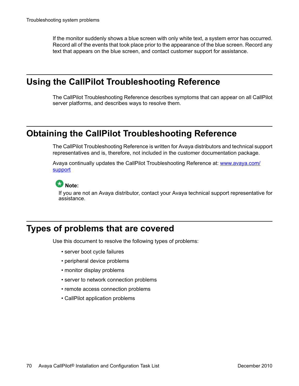If the monitor suddenly shows a blue screen with only white text, a system error has occurred. Record all of the events that took place prior to the appearance of the blue screen. Record any text that appears on the blue screen, and contact customer support for assistance.

# **Using the CallPilot Troubleshooting Reference**

The CallPilot Troubleshooting Reference describes symptoms that can appear on all CallPilot server platforms, and describes ways to resolve them.

# **Obtaining the CallPilot Troubleshooting Reference**

The CallPilot Troubleshooting Reference is written for Avaya distributors and technical support representatives and is, therefore, not included in the customer documentation package.

[Avaya continually updates the CallPilot Troubleshooting Reference at: www.avaya.com/](http://www.avaya.com/support) support

# **ED** Note:

If you are not an Avaya distributor, contact your Avaya technical support representative for assistance.

# **Types of problems that are covered**

Use this document to resolve the following types of problems:

- server boot cycle failures
- peripheral device problems
- monitor display problems
- server to network connection problems
- remote access connection problems
- CallPilot application problems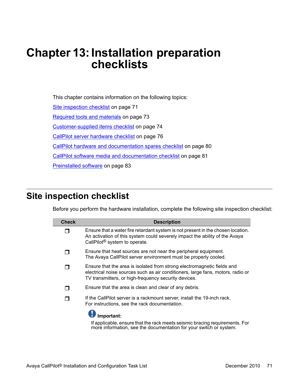# **Chapter 13: Installation preparation checklists**

This chapter contains information on the following topics:

Site inspection checklist on page 71

[Required](#page-72-0) tools and materials on page 73

[Customer-supplied](#page-73-0) items checklist on page 74

CallPilot server [hardware](#page-75-0) checklist on page 76

CallPilot hardware and [documentation](#page-79-0) spares checklist on page 80

CallPilot software media and [documentation](#page-80-0) checklist on page 81

[Preinstalled](#page-82-0) software on page 83

# **Site inspection checklist**

Before you perform the hardware installation, complete the following site inspection checklist:

| <b>Check</b> | <b>Description</b>                                                                                                                                                                                                 |
|--------------|--------------------------------------------------------------------------------------------------------------------------------------------------------------------------------------------------------------------|
|              | Ensure that a water fire retardant system is not present in the chosen location.<br>An activation of this system could severely impact the ability of the Avaya<br>CallPilot <sup>®</sup> system to operate.       |
|              | Ensure that heat sources are not near the peripheral equipment.<br>The Avaya CallPilot server environment must be properly cooled.                                                                                 |
|              | Ensure that the area is isolated from strong electromagnetic fields and<br>electrical noise sources such as air conditioners, large fans, motors, radio or<br>TV transmitters, or high-frequency security devices. |
|              | Ensure that the area is clean and clear of any debris.                                                                                                                                                             |
|              | If the CallPilot server is a rackmount server, install the 19-inch rack.<br>For instructions, see the rack documentation.                                                                                          |
|              | Important:                                                                                                                                                                                                         |
|              | If applicable, ensure that the rack meets seismic bracing requirements. For<br>more information, see the documentation for your switch or system.                                                                  |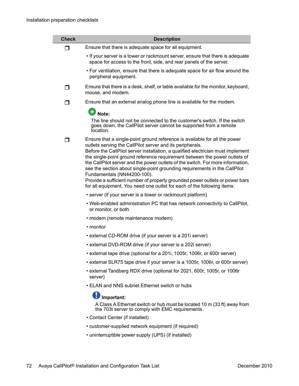| <b>Check</b> | <b>Description</b>                                                                                                                                                                                                                                                                                                                                                                                                                                                                                                                                                                                                                                                   |
|--------------|----------------------------------------------------------------------------------------------------------------------------------------------------------------------------------------------------------------------------------------------------------------------------------------------------------------------------------------------------------------------------------------------------------------------------------------------------------------------------------------------------------------------------------------------------------------------------------------------------------------------------------------------------------------------|
| ⊓            | Ensure that there is adequate space for all equipment.                                                                                                                                                                                                                                                                                                                                                                                                                                                                                                                                                                                                               |
|              | • If your server is a tower or rackmount server, ensure that there is adequate<br>space for access to the front, side, and rear panels of the server.                                                                                                                                                                                                                                                                                                                                                                                                                                                                                                                |
|              | • For ventilation, ensure that there is adequate space for air flow around the<br>peripheral equipment.                                                                                                                                                                                                                                                                                                                                                                                                                                                                                                                                                              |
| П            | Ensure that there is a desk, shelf, or table available for the monitor, keyboard,<br>mouse, and modem.                                                                                                                                                                                                                                                                                                                                                                                                                                                                                                                                                               |
| П            | Ensure that an external analog phone line is available for the modem.                                                                                                                                                                                                                                                                                                                                                                                                                                                                                                                                                                                                |
|              | $\star$<br>Note:<br>The line should not be connected to the customer's switch. If the switch<br>goes down, the CallPilot server cannot be supported from a remote<br>location.                                                                                                                                                                                                                                                                                                                                                                                                                                                                                       |
| ┒            | Ensure that a single-point ground reference is available for all the power<br>outlets serving the CallPilot server and its peripherals.<br>Before the CallPilot server installation, a qualified electrician must implement<br>the single-point ground reference requirement between the power outlets of<br>the CallPilot server and the power outlets of the switch. For more information,<br>see the section about single-point grounding requirements in the CallPilot<br>Fundamentals (NN44200-100).<br>Provide a sufficient number of properly grounded power outlets or power bars<br>for all equipment. You need one outlet for each of the following items: |
|              | • server (if your server is a tower or rackmount platform)                                                                                                                                                                                                                                                                                                                                                                                                                                                                                                                                                                                                           |
|              | . Web-enabled administration PC that has network connectivity to CallPilot,<br>or monitor, or both                                                                                                                                                                                                                                                                                                                                                                                                                                                                                                                                                                   |
|              | · modem (remote maintenance modem)                                                                                                                                                                                                                                                                                                                                                                                                                                                                                                                                                                                                                                   |
|              | • monitor                                                                                                                                                                                                                                                                                                                                                                                                                                                                                                                                                                                                                                                            |
|              | • external CD-ROM drive (if your server is a 201i server)                                                                                                                                                                                                                                                                                                                                                                                                                                                                                                                                                                                                            |
|              | • external DVD-ROM drive (if your server is a 202i server)                                                                                                                                                                                                                                                                                                                                                                                                                                                                                                                                                                                                           |
|              | · external tape drive (optional for a 201i, 1005r, 1006r, or 600r server)                                                                                                                                                                                                                                                                                                                                                                                                                                                                                                                                                                                            |
|              | • external SLR75 tape drive if your server is a 1005r, 1006r, or 600r server)                                                                                                                                                                                                                                                                                                                                                                                                                                                                                                                                                                                        |
|              | • external Tandberg RDX drive (optional for 2021, 600r, 1005r, or 1006r<br>server)                                                                                                                                                                                                                                                                                                                                                                                                                                                                                                                                                                                   |
|              | • ELAN and NNS subnet Ethernet switch or hubs                                                                                                                                                                                                                                                                                                                                                                                                                                                                                                                                                                                                                        |
|              | Important:<br>A Class A Ethernet switch or hub must be located 10 m (33 ft) away from<br>the 703t server to comply with EMC requirements.                                                                                                                                                                                                                                                                                                                                                                                                                                                                                                                            |
|              | • Contact Center (if installed)                                                                                                                                                                                                                                                                                                                                                                                                                                                                                                                                                                                                                                      |
|              | • customer-supplied network equipment (if required)                                                                                                                                                                                                                                                                                                                                                                                                                                                                                                                                                                                                                  |
|              |                                                                                                                                                                                                                                                                                                                                                                                                                                                                                                                                                                                                                                                                      |

• uninterruptible power supply (UPS) (if installed)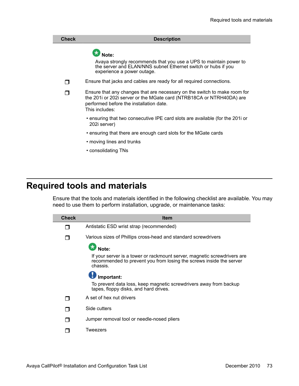<span id="page-72-0"></span>

| Check | <b>Description</b>                                                                                                                                                                                             |
|-------|----------------------------------------------------------------------------------------------------------------------------------------------------------------------------------------------------------------|
|       | Note:                                                                                                                                                                                                          |
|       | Avaya strongly recommends that you use a UPS to maintain power to<br>the server and ELAN/NNS subnet Ethernet switch or hubs if you<br>experience a power outage.                                               |
|       | Ensure that jacks and cables are ready for all required connections.                                                                                                                                           |
|       | Ensure that any changes that are necessary on the switch to make room for<br>the 201i or 202i server or the MGate card (NTRB18CA or NTRH40DA) are<br>performed before the installation date.<br>This includes: |
|       | • ensuring that two consecutive IPE card slots are available (for the 201i or<br>202i server)                                                                                                                  |
|       | • ensuring that there are enough card slots for the MGate cards                                                                                                                                                |
|       | • moving lines and trunks                                                                                                                                                                                      |
|       | • consolidating TNs                                                                                                                                                                                            |

## **Required tools and materials**

Ensure that the tools and materials identified in the following checklist are available. You may need to use them to perform installation, upgrade, or maintenance tasks:

| <b>Check</b> | <b>Item</b>                                                                                                                                                 |
|--------------|-------------------------------------------------------------------------------------------------------------------------------------------------------------|
|              | Antistatic ESD wrist strap (recommended)                                                                                                                    |
|              | Various sizes of Phillips cross-head and standard screwdrivers                                                                                              |
|              | Note:                                                                                                                                                       |
|              | If your server is a tower or rackmount server, magnetic screwdrivers are<br>recommended to prevent you from losing the screws inside the server<br>chassis. |
|              | Important:                                                                                                                                                  |
|              | To prevent data loss, keep magnetic screwdrivers away from backup<br>tapes, floppy disks, and hard drives.                                                  |
|              | A set of hex nut drivers                                                                                                                                    |
|              | Side cutters                                                                                                                                                |
|              | Jumper removal tool or needle-nosed pliers                                                                                                                  |
|              | Tweezers                                                                                                                                                    |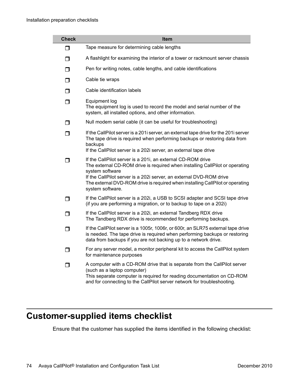<span id="page-73-0"></span>

| <b>Check</b> | <b>Item</b>                                                                                                                                                                                                                                                                                                                                |
|--------------|--------------------------------------------------------------------------------------------------------------------------------------------------------------------------------------------------------------------------------------------------------------------------------------------------------------------------------------------|
| ⊓            | Tape measure for determining cable lengths                                                                                                                                                                                                                                                                                                 |
| ⊓            | A flashlight for examining the interior of a tower or rackmount server chassis                                                                                                                                                                                                                                                             |
| ⊓            | Pen for writing notes, cable lengths, and cable identifications                                                                                                                                                                                                                                                                            |
| п            | Cable tie wraps                                                                                                                                                                                                                                                                                                                            |
| ⊓            | Cable identification labels                                                                                                                                                                                                                                                                                                                |
| П            | <b>Equipment log</b><br>The equipment log is used to record the model and serial number of the<br>system, all installed options, and other information.                                                                                                                                                                                    |
| П            | Null modem serial cable (it can be useful for troubleshooting)                                                                                                                                                                                                                                                                             |
| П            | If the CallPilot server is a 201i server, an external tape drive for the 201i server<br>The tape drive is required when performing backups or restoring data from<br>backups                                                                                                                                                               |
|              | If the CallPilot server is a 202i server, an external tape drive                                                                                                                                                                                                                                                                           |
| П            | If the CallPilot server is a 201i, an external CD-ROM drive<br>The external CD-ROM drive is required when installing CallPilot or operating<br>system software<br>If the CallPilot server is a 202i server, an external DVD-ROM drive<br>The external DVD-ROM drive is required when installing CallPilot or operating<br>system software. |
| ⊓            | If the CallPilot server is a 202i, a USB to SCSI adapter and SCSI tape drive<br>(if you are performing a migration, or to backup to tape on a 202i)                                                                                                                                                                                        |
| П            | If the CallPilot server is a 202i, an external Tandberg RDX drive<br>The Tandberg RDX drive is recommended for performing backups.                                                                                                                                                                                                         |
| ⊓            | If the CallPilot server is a 1005r, 1006r, or 600r, an SLR75 external tape drive<br>is needed. The tape drive is required when performing backups or restoring<br>data from backups if you are not backing up to a network drive.                                                                                                          |
| ⊓            | For any server model, a monitor peripheral kit to access the CallPilot system<br>for maintenance purposes                                                                                                                                                                                                                                  |
| П            | A computer with a CD-ROM drive that is separate from the CallPilot server<br>(such as a laptop computer)<br>This separate computer is required for reading documentation on CD-ROM<br>and for connecting to the CallPilot server network for troubleshooting.                                                                              |

## **Customer-supplied items checklist**

Ensure that the customer has supplied the items identified in the following checklist: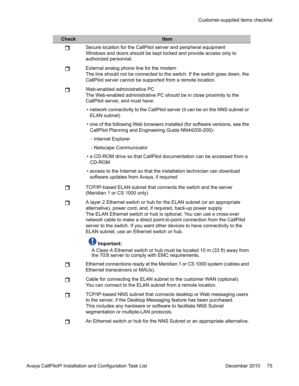| <b>Check</b> | <b>Item</b>                                                                                                                                                                                                                                                                                                                                                                                                                       |
|--------------|-----------------------------------------------------------------------------------------------------------------------------------------------------------------------------------------------------------------------------------------------------------------------------------------------------------------------------------------------------------------------------------------------------------------------------------|
| ⊓            | Secure location for the CallPilot server and peripheral equipment<br>Windows and doors should be kept locked and provide access only to<br>authorized personnel.                                                                                                                                                                                                                                                                  |
| □            | External analog phone line for the modem<br>The line should not be connected to the switch. If the switch goes down, the<br>CallPilot server cannot be supported from a remote location.                                                                                                                                                                                                                                          |
| П            | Web-enabled administrative PC<br>The Web-enabled administrative PC should be in close proximity to the<br>CallPilot server, and must have:                                                                                                                                                                                                                                                                                        |
|              | • network connectivity to the CallPilot server (it can be on the NNS subnet or<br>ELAN subnet)                                                                                                                                                                                                                                                                                                                                    |
|              | • one of the following Web browsers installed (for software versions, see the<br>CallPilot Planning and Engineering Guide NN44200-200):                                                                                                                                                                                                                                                                                           |
|              | - Internet Explorer                                                                                                                                                                                                                                                                                                                                                                                                               |
|              | - Netscape Communicator                                                                                                                                                                                                                                                                                                                                                                                                           |
|              | • a CD-ROM drive so that CallPilot documentation can be accessed from a<br>CD-ROM                                                                                                                                                                                                                                                                                                                                                 |
|              | • access to the Internet so that the installation technician can download<br>software updates from Avaya, if required                                                                                                                                                                                                                                                                                                             |
| П            | TCP/IP-based ELAN subnet that connects the switch and the server<br>(Meridian 1 or CS 1000 only)                                                                                                                                                                                                                                                                                                                                  |
| ⊓            | A layer 2 Ethernet switch or hub for the ELAN subnet (or an appropriate<br>alternative), power cord, and, if required, back-up power supply<br>The ELAN Ethernet switch or hub is optional. You can use a cross-over<br>network cable to make a direct point-to-point connection from the CallPilot<br>server to the switch. If you want other devices to have connectivity to the<br>ELAN subnet, use an Ethernet switch or hub. |
|              | Important:<br>A Class A Ethernet switch or hub must be located 10 m (33 ft) away from<br>the 703t server to comply with EMC requirements.                                                                                                                                                                                                                                                                                         |
| П            | Ethernet connections ready at the Meridian 1 or CS 1000 system (cables and<br>Ethernet transceivers or MAUs).                                                                                                                                                                                                                                                                                                                     |
| $\Box$       | Cable for connecting the ELAN subnet to the customer WAN (optional).<br>You can connect to the ELAN subnet from a remote location.                                                                                                                                                                                                                                                                                                |
| П            | TCP/IP-based NNS subnet that connects desktop or Web messaging users<br>to the server, if the Desktop Messaging feature has been purchased.<br>This includes any hardware or software to facilitate NNS Subnet<br>segmentation or multiple-LAN protocols.                                                                                                                                                                         |
| ┒            | An Ethernet switch or hub for the NNS Subnet or an appropriate alternative.                                                                                                                                                                                                                                                                                                                                                       |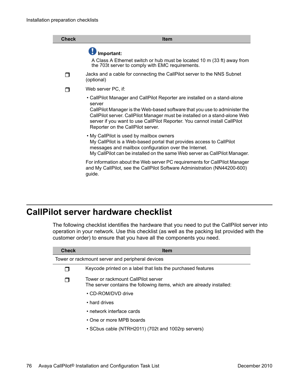<span id="page-75-0"></span>

| <b>Check</b> | <b>Item</b>                                                                                                                                                                                                                                                                                                                                                        |
|--------------|--------------------------------------------------------------------------------------------------------------------------------------------------------------------------------------------------------------------------------------------------------------------------------------------------------------------------------------------------------------------|
|              | Important:<br>A Class A Ethernet switch or hub must be located 10 m (33 ft) away from<br>the 703t server to comply with EMC requirements.                                                                                                                                                                                                                          |
|              | Jacks and a cable for connecting the CallPilot server to the NNS Subnet<br>(optional)                                                                                                                                                                                                                                                                              |
|              | Web server PC, if:                                                                                                                                                                                                                                                                                                                                                 |
|              | • CallPilot Manager and CallPilot Reporter are installed on a stand-alone<br>server<br>CallPilot Manager is the Web-based software that you use to administer the<br>CallPilot server. CallPilot Manager must be installed on a stand-alone Web<br>server if you want to use CallPilot Reporter. You cannot install CallPilot<br>Reporter on the CallPilot server. |
|              | • My CallPilot is used by mailbox owners<br>My CallPilot is a Web-based portal that provides access to CallPilot<br>messages and mailbox configuration over the Internet.<br>My CallPilot can be installed on the same Web server as CallPilot Manager.                                                                                                            |
|              | For information about the Web server PC requirements for CallPilot Manager<br>and My CallPilot, see the CallPilot Software Administration (NN44200-600)<br>guide.                                                                                                                                                                                                  |

## **CallPilot server hardware checklist**

The following checklist identifies the hardware that you need to put the CallPilot server into operation in your network. Use this checklist (as well as the packing list provided with the customer order) to ensure that you have all the components you need.

| <b>Check</b> | <b>Item</b>                                                                                                  |
|--------------|--------------------------------------------------------------------------------------------------------------|
|              | Tower or rackmount server and peripheral devices                                                             |
|              | Keycode printed on a label that lists the purchased features                                                 |
|              | Tower or rackmount CallPilot server<br>The server contains the following items, which are already installed: |
|              | • CD-ROM/DVD drive                                                                                           |
|              | • hard drives                                                                                                |
|              | • network interface cards                                                                                    |
|              | • One or more MPB boards                                                                                     |
|              | • SCbus cable (NTRH2011) (702t and 1002rp servers)                                                           |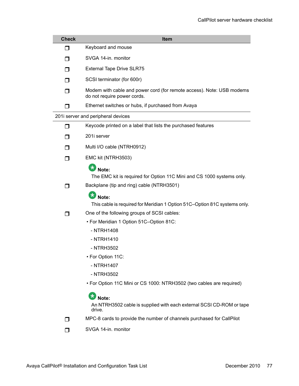| <b>Check</b> | Item                                                                                                 |
|--------------|------------------------------------------------------------------------------------------------------|
| П            | Keyboard and mouse                                                                                   |
| П            | SVGA 14-in. monitor                                                                                  |
| п            | <b>External Tape Drive SLR75</b>                                                                     |
| п            | SCSI terminator (for 600r)                                                                           |
| П            | Modem with cable and power cord (for remote access). Note: USB modems<br>do not require power cords. |
| п            | Ethernet switches or hubs, if purchased from Avaya                                                   |
|              | 201i server and peripheral devices                                                                   |
| $\Box$       | Keycode printed on a label that lists the purchased features                                         |
| ⊓            | 201i server                                                                                          |
| п            | Multi I/O cable (NTRH0912)                                                                           |
| П            | EMC kit (NTRH3503)                                                                                   |
|              | Note:<br>The EMC kit is required for Option 11C Mini and CS 1000 systems only.                       |
| П            | Backplane (tip and ring) cable (NTRH3501)                                                            |
|              | Note:<br>This cable is required for Meridian 1 Option 51C-Option 81C systems only.                   |
| ⊓            | One of the following groups of SCSI cables:                                                          |
|              | • For Meridian 1 Option 51C-Option 81C:                                                              |
|              | - NTRH1408                                                                                           |
|              | - NTRH1410<br>- NTRH3502                                                                             |
|              | • For Option 11C:                                                                                    |
|              | - NTRH1407                                                                                           |
|              | - NTRH3502                                                                                           |
|              | • For Option 11C Mini or CS 1000: NTRH3502 (two cables are required)                                 |
|              | Note:<br>An NTRH3502 cable is supplied with each external SCSI CD-ROM or tape<br>drive.              |
| П            | MPC-8 cards to provide the number of channels purchased for CallPilot                                |
| П            | SVGA 14-in. monitor                                                                                  |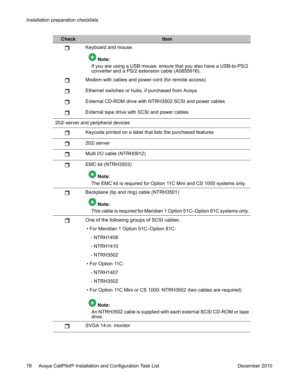| <b>Check</b> | <b>Item</b>                                                                                                               |
|--------------|---------------------------------------------------------------------------------------------------------------------------|
| ⊓            | Keyboard and mouse                                                                                                        |
|              | Note:                                                                                                                     |
|              | If you are using a USB mouse, ensure that you also have a USB-to-PS/2<br>converter and a PS/2 extension cable (A0855616). |
| П            | Modem with cables and power cord (for remote access)                                                                      |
| П            | Ethernet switches or hubs, if purchased from Avaya                                                                        |
| П            | External CD-ROM drive with NTRH3502 SCSI and power cables                                                                 |
| ⊓            | External tape drive with SCSI and power cables                                                                            |
|              | 202i server and peripheral devices                                                                                        |
| □            | Keycode printed on a label that lists the purchased features                                                              |
| П            | 202i server                                                                                                               |
| П            | Multi I/O cable (NTRH0912)                                                                                                |
| П            | EMC kit (NTRH3503)                                                                                                        |
|              | Note:                                                                                                                     |
|              | The EMC kit is required for Option 11C Mini and CS 1000 systems only.                                                     |
| ⊓            | Backplane (tip and ring) cable (NTRH3501)                                                                                 |
|              | Note:                                                                                                                     |
|              | This cable is required for Meridian 1 Option 51C-Option 81C systems only.                                                 |
| ⊓            | One of the following groups of SCSI cables:                                                                               |
|              | • For Meridian 1 Option 51C-Option 81C:<br>- NTRH1408                                                                     |
|              | - NTRH1410                                                                                                                |
|              | - NTRH3502                                                                                                                |
|              | • For Option 11C:                                                                                                         |
|              | - NTRH1407                                                                                                                |
|              | - NTRH3502                                                                                                                |
|              | • For Option 11C Mini or CS 1000: NTRH3502 (two cables are required)                                                      |
|              |                                                                                                                           |
|              | Note:<br>An NTRH3502 cable is supplied with each external SCSI CD-ROM or tape                                             |
|              | drive.                                                                                                                    |
| □            | SVGA 14-in. monitor                                                                                                       |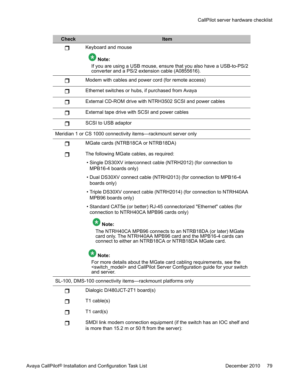| <b>Check</b> | <b>Item</b>                                                                                                                                                                          |
|--------------|--------------------------------------------------------------------------------------------------------------------------------------------------------------------------------------|
|              | Keyboard and mouse                                                                                                                                                                   |
|              | Note:                                                                                                                                                                                |
|              | If you are using a USB mouse, ensure that you also have a USB-to-PS/2<br>converter and a PS/2 extension cable (A0855616).                                                            |
| □            | Modem with cables and power cord (for remote access)                                                                                                                                 |
| ⊓            | Ethernet switches or hubs, if purchased from Avaya                                                                                                                                   |
| ⊓            | External CD-ROM drive with NTRH3502 SCSI and power cables                                                                                                                            |
| □            | External tape drive with SCSI and power cables                                                                                                                                       |
| ⊓            | SCSI to USB adaptor                                                                                                                                                                  |
|              | Meridian 1 or CS 1000 connectivity items—rackmount server only                                                                                                                       |
| ┓            | MGate cards (NTRB18CA or NTRB18DA)                                                                                                                                                   |
| ⊓            | The following MGate cables, as required:                                                                                                                                             |
|              | • Single DS30XV interconnect cable (NTRH2012) (for connection to<br>MPB16-4 boards only)                                                                                             |
|              | • Dual DS30XV connect cable (NTRH2013) (for connection to MPB16-4<br>boards only)                                                                                                    |
|              | • Triple DS30XV connect cable (NTRH2014) (for connection to NTRH40AA<br>MPB96 boards only)                                                                                           |
|              | • Standard CAT5e (or better) RJ-45 connectorized "Ethernet" cables (for<br>connection to NTRH40CA MPB96 cards only)                                                                  |
|              | Note:                                                                                                                                                                                |
|              | The NTRH40CA MPB96 connects to an NTRB18DA (or later) MGate<br>card only. The NTRH40AA MPB96 card and the MPB16-4 cards can<br>connect to either an NTRB18CA or NTRB18DA MGate card. |
|              | Note:                                                                                                                                                                                |
|              | For more details about the MGate card cabling requirements, see the<br><switch model=""> and CallPilot Server Configuration guide for your switch<br/>and server.</switch>           |
|              | SL-100, DMS-100 connectivity items-rackmount platforms only                                                                                                                          |
| П            | Dialogic D/480JCT-2T1 board(s)                                                                                                                                                       |
| □            | T1 cable $(s)$                                                                                                                                                                       |
| П            | T1 card $(s)$                                                                                                                                                                        |
|              |                                                                                                                                                                                      |

SMDI link modem connection equipment (if the switch has an IOC shelf and  $\Box$ is more than 15.2 m or 50 ft from the server):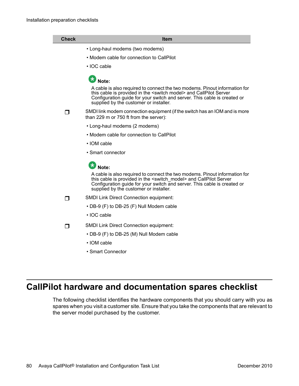| <b>Check</b> | <b>Item</b>                                                                                                                                                                                                                                                                                  |
|--------------|----------------------------------------------------------------------------------------------------------------------------------------------------------------------------------------------------------------------------------------------------------------------------------------------|
|              | • Long-haul modems (two modems)                                                                                                                                                                                                                                                              |
|              | • Modem cable for connection to CallPilot                                                                                                                                                                                                                                                    |
|              | $\cdot$ IOC cable                                                                                                                                                                                                                                                                            |
|              | Note:<br>A cable is also required to connect the two modems. Pinout information for<br>this cable is provided in the <switch model=""> and CallPilot Server<br/>Configuration guide for your switch and server. This cable is created or<br/>supplied by the customer or installer.</switch> |
| ⊓            | SMDI link modem connection equipment (if the switch has an IOM and is more<br>than 229 m or 750 ft from the server):                                                                                                                                                                         |
|              | • Long-haul modems (2 modems)                                                                                                                                                                                                                                                                |
|              | • Modem cable for connection to CallPilot                                                                                                                                                                                                                                                    |
|              | • IOM cable                                                                                                                                                                                                                                                                                  |
|              | • Smart connector                                                                                                                                                                                                                                                                            |
|              | Note:                                                                                                                                                                                                                                                                                        |
|              | A cable is also required to connect the two modems. Pinout information for<br>this cable is provided in the <switch model=""> and CallPilot Server<br/>Configuration guide for your switch and server. This cable is created or<br/>supplied by the customer or installer.</switch>          |
| ⊓            | <b>SMDI Link Direct Connection equipment:</b>                                                                                                                                                                                                                                                |
|              | • DB-9 (F) to DB-25 (F) Null Modem cable                                                                                                                                                                                                                                                     |
|              | • IOC cable                                                                                                                                                                                                                                                                                  |
| ⊓            | <b>SMDI Link Direct Connection equipment:</b>                                                                                                                                                                                                                                                |
|              | • DB-9 (F) to DB-25 (M) Null Modem cable                                                                                                                                                                                                                                                     |
|              | • IOM cable                                                                                                                                                                                                                                                                                  |
|              | • Smart Connector                                                                                                                                                                                                                                                                            |

## **CallPilot hardware and documentation spares checklist**

The following checklist identifies the hardware components that you should carry with you as spares when you visit a customer site. Ensure that you take the components that are relevant to the server model purchased by the customer.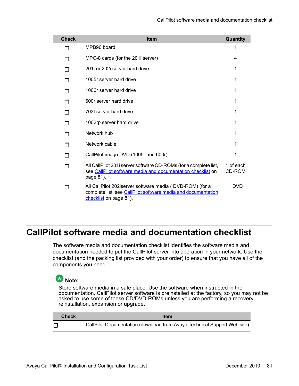<span id="page-80-0"></span>

| <b>Check</b> | Item                                                                                                                                                | Quantity            |
|--------------|-----------------------------------------------------------------------------------------------------------------------------------------------------|---------------------|
| □            | MPB96 board                                                                                                                                         | 1                   |
| □            | MPC-8 cards (for the 201i server)                                                                                                                   | 4                   |
| ⊓            | 201i or 202i server hard drive                                                                                                                      | 1                   |
| ⊓            | 1005r server hard drive                                                                                                                             | 1                   |
| ⊓            | 1006r server hard drive                                                                                                                             | 1                   |
| ┒            | 600r server hard drive                                                                                                                              | 1                   |
| ⊓            | 703t server hard drive                                                                                                                              | 1                   |
| ⊓            | 1002rp server hard drive                                                                                                                            | 1                   |
| □            | Network hub                                                                                                                                         | 1                   |
| ⊓            | Network cable                                                                                                                                       | 1                   |
| ┑            | CallPilot image DVD (1005r and 600r)                                                                                                                | 1                   |
| ⊓            | All CallPilot 201i server software CD-ROMs (for a complete list,<br>see CallPilot software media and documentation checklist on<br>page 81).        | 1 of each<br>CD-ROM |
| ┒            | All CallPilot 202iserver software media (DVD-ROM) (for a<br>complete list, see CallPilot software media and documentation<br>checklist on page 81). | 1 DVD               |

## **CallPilot software media and documentation checklist**

The software media and documentation checklist identifies the software media and documentation needed to put the CallPilot server into operation in your network. Use the checklist (and the packing list provided with your order) to ensure that you have all of the components you need.



Store software media in a safe place. Use the software when instructed in the documentation. CallPilot server software is preinstalled at the factory, so you may not be asked to use some of these CD/DVD-ROMs unless you are performing a recovery, reinstallation, expansion or upgrade.

| Check  | <b>Item</b>                                                              |
|--------|--------------------------------------------------------------------------|
| $\Box$ | CallPilot Documentation (download from Avaya Technical Support Web site) |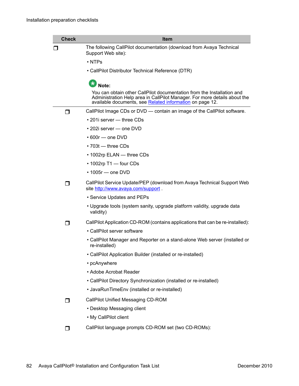| <b>Check</b> | <b>Item</b>                                                                                                                                                                                                     |
|--------------|-----------------------------------------------------------------------------------------------------------------------------------------------------------------------------------------------------------------|
| □            | The following CallPilot documentation (download from Avaya Technical<br>Support Web site):                                                                                                                      |
|              | $\cdot$ NTPs                                                                                                                                                                                                    |
|              | • CallPilot Distributor Technical Reference (DTR)                                                                                                                                                               |
|              | Note:                                                                                                                                                                                                           |
|              | You can obtain other CallPilot documentation from the Installation and<br>Administration Help area in CallPilot Manager. For more details about the<br>available documents, see Related information on page 12. |
| П            | CallPilot Image CDs or DVD - contain an image of the CallPilot software.                                                                                                                                        |
|              | $\cdot$ 201i server — three CDs                                                                                                                                                                                 |
|              | $\cdot$ 202i server — one DVD                                                                                                                                                                                   |
|              | $\cdot$ 600r — one DVD                                                                                                                                                                                          |
|              | $\cdot$ 703t — three CDs                                                                                                                                                                                        |
|              | $\cdot$ 1002rp ELAN — three CDs                                                                                                                                                                                 |
|              | $\cdot$ 1002rp T1 — four CDs                                                                                                                                                                                    |
|              | $\cdot$ 1005r — one DVD                                                                                                                                                                                         |
| ┓            | CallPilot Service Update/PEP (download from Avaya Technical Support Web<br>site http://www.avaya.com/support.                                                                                                   |
|              | • Service Updates and PEPs                                                                                                                                                                                      |
|              | • Upgrade tools (system sanity, upgrade platform validity, upgrade data<br>validity)                                                                                                                            |
| □            | CallPilot Application CD-ROM (contains applications that can be re-installed):                                                                                                                                  |
|              | • CallPilot server software                                                                                                                                                                                     |
|              | • CallPilot Manager and Reporter on a stand-alone Web server (installed or<br>re-installed)                                                                                                                     |
|              | • CallPilot Application Builder (installed or re-installed)                                                                                                                                                     |
|              | • pcAnywhere                                                                                                                                                                                                    |
|              | • Adobe Acrobat Reader                                                                                                                                                                                          |
|              | • CallPilot Directory Synchronization (installed or re-installed)                                                                                                                                               |
|              | • JavaRunTimeEnv (installed or re-installed)                                                                                                                                                                    |
| ⊓            | CallPilot Unified Messaging CD-ROM                                                                                                                                                                              |
|              | • Desktop Messaging client                                                                                                                                                                                      |
|              | • My CallPilot client                                                                                                                                                                                           |
| □            | CallPilot language prompts CD-ROM set (two CD-ROMs):                                                                                                                                                            |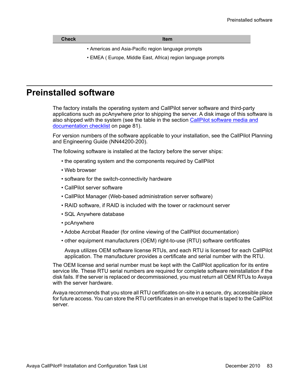<span id="page-82-0"></span>

| <b>Check</b> | <b>Item</b> |
|--------------|-------------|
|              |             |

- Americas and Asia-Pacific region language prompts
- EMEA ( Europe, Middle East, Africa) region language prompts

### **Preinstalled software**

The factory installs the operating system and CallPilot server software and third-party applications such as pcAnywhere prior to shipping the server. A disk image of this software is also shipped with the system (see the table in the section CallPilot [software](#page-80-0) media and [documentation](#page-80-0) checklist on page 81).

For version numbers of the software applicable to your installation, see the CallPilot Planning and Engineering Guide (NN44200-200).

The following software is installed at the factory before the server ships:

- the operating system and the components required by CallPilot
- Web browser
- software for the switch-connectivity hardware
- CallPilot server software
- CallPilot Manager (Web-based administration server software)
- RAID software, if RAID is included with the tower or rackmount server
- SQL Anywhere database
- pcAnywhere
- Adobe Acrobat Reader (for online viewing of the CallPilot documentation)
- other equipment manufacturers (OEM) right-to-use (RTU) software certificates

Avaya utilizes OEM software license RTUs, and each RTU is licensed for each CallPilot application. The manufacturer provides a certificate and serial number with the RTU.

The OEM license and serial number must be kept with the CallPilot application for its entire service life. These RTU serial numbers are required for complete software reinstallation if the disk fails. If the server is replaced or decommissioned, you must return all OEM RTUs to Avaya with the server hardware.

Avaya recommends that you store all RTU certificates on-site in a secure, dry, accessible place for future access. You can store the RTU certificates in an envelope that is taped to the CallPilot server.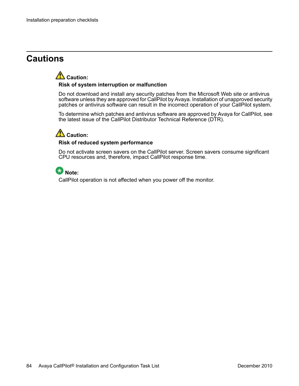## <span id="page-83-0"></span>**Cautions**

## **A** Caution:

#### **Risk of system interruption or malfunction**

Do not download and install any security patches from the Microsoft Web site or antivirus software unless they are approved for CallPilot by Avaya. Installation of unapproved security patches or antivirus software can result in the incorrect operation of your CallPilot system.

To determine which patches and antivirus software are approved by Avaya for CallPilot, see the latest issue of the CallPilot Distributor Technical Reference (DTR).

### **A** Caution:

#### **Risk of reduced system performance**

Do not activate screen savers on the CallPilot server. Screen savers consume significant CPU resources and, therefore, impact CallPilot response time.

### $\bullet$  Note:

CallPilot operation is not affected when you power off the monitor.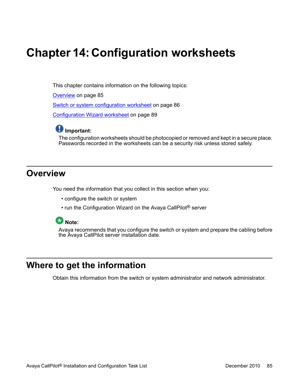# <span id="page-84-0"></span>**Chapter 14: Configuration worksheets**

This chapter contains information on the following topics:

Overview on page 85

Switch or system [configuration](#page-85-0) worksheet on page 86

[Configuration](#page-88-0) Wizard worksheet on page 89



The configuration worksheets should be photocopied or removed and kept in a secure place. Passwords recorded in the worksheets can be a security risk unless stored safely.

### **Overview**

You need the information that you collect in this section when you:

- configure the switch or system
- run the Configuration Wizard on the Avaya CallPilot® server

### **Note:**

Avaya recommends that you configure the switch or system and prepare the cabling before the Avaya CallPilot server installation date.

## **Where to get the information**

Obtain this information from the switch or system administrator and network administrator.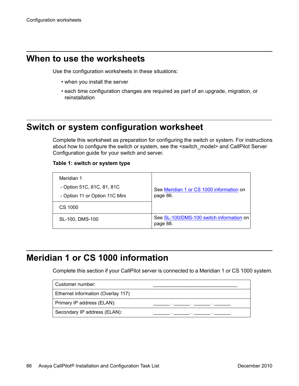## <span id="page-85-0"></span>**When to use the worksheets**

Use the configuration worksheets in these situations:

- when you install the server
- each time configuration changes are required as part of an upgrade, migration, or reinstallation

## **Switch or system configuration worksheet**

Complete this worksheet as preparation for configuring the switch or system. For instructions about how to configure the switch or system, see the <switch\_model> and CallPilot Server Configuration guide for your switch and server.

#### **Table 1: switch or system type**

| Meridian 1<br>- Option 51C, 61C, 81, 81C<br>- Option 11 or Option 11C Mini | See Meridian 1 or CS 1000 information on<br>page 86. |
|----------------------------------------------------------------------------|------------------------------------------------------|
| CS 1000                                                                    |                                                      |
| SL-100, DMS-100                                                            | See SL-100/DMS-100 switch information on<br>page 88. |

## **Meridian 1 or CS 1000 information**

Complete this section if your CallPilot server is connected to a Meridian 1 or CS 1000 system.

| Customer number: |  |
|------------------|--|
|                  |  |

Ethernet information (Overlay 117)

Primary IP address (ELAN):

Secondary IP address (ELAN):  $\qquad \qquad \qquad \qquad \qquad \qquad \qquad$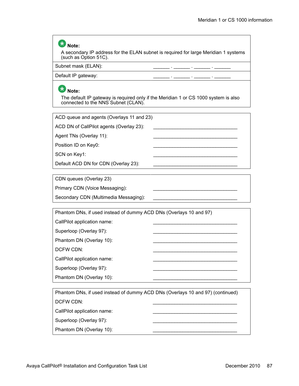$\bullet$  Note:

A secondary IP address for the ELAN subnet is required for large Meridian 1 systems (such as Option 51C).

Subnet mask (ELAN): \_\_\_\_\_\_ . \_\_\_\_\_\_ . \_\_\_\_\_\_ . \_\_\_\_\_\_

Default IP gateway: \_\_\_\_\_\_ . \_\_\_\_\_\_ . \_\_\_\_\_\_ . \_\_\_\_\_\_

### $\bullet$  Note:

The default IP gateway is required only if the Meridian 1 or CS 1000 system is also connected to the NNS Subnet (CLAN).

ACD queue and agents (Overlays 11 and 23)

ACD DN of CallPilot agents (Overlay 23):

Agent TNs (Overlay 11):

Position ID on Key0:

SCN on Key1:

Default ACD DN for CDN (Overlay 23):

CDN queues (Overlay 23)

Primary CDN (Voice Messaging):

Secondary CDN (Multimedia Messaging):

Phantom DNs, if used instead of dummy ACD DNs (Overlays 10 and 97)

CallPilot application name:

Superloop (Overlay 97):

Phantom DN (Overlay 10):

DCFW CDN:

CallPilot application name:

Superloop (Overlay 97):

Phantom DN (Overlay 10):

Phantom DNs, if used instead of dummy ACD DNs (Overlays 10 and 97) (continued) DCFW CDN: CallPilot application name: Superloop (Overlay 97):

Phantom DN (Overlay 10):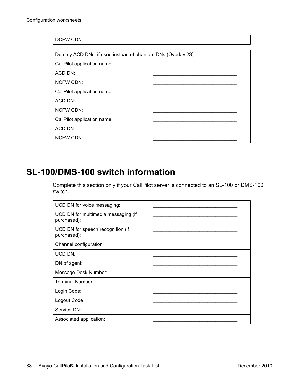#### <span id="page-87-0"></span>DCFW CDN:

| Dummy ACD DNs, if used instead of phantom DNs (Overlay 23) |  |  |
|------------------------------------------------------------|--|--|
| CallPilot application name:                                |  |  |
| ACD DN:                                                    |  |  |
| <b>NCFW CDN:</b>                                           |  |  |
| CallPilot application name:                                |  |  |
| ACD DN:                                                    |  |  |
| <b>NCFW CDN:</b>                                           |  |  |
| CallPilot application name:                                |  |  |
| ACD DN:                                                    |  |  |
| <b>NCFW CDN:</b>                                           |  |  |

## **SL-100/DMS-100 switch information**

Complete this section only if your CallPilot server is connected to an SL-100 or DMS-100 switch.

| UCD DN for voice messaging:                        |  |
|----------------------------------------------------|--|
| UCD DN for multimedia messaging (if<br>purchased): |  |
| UCD DN for speech recognition (if<br>purchased):   |  |
| Channel configuration                              |  |
| <b>UCD DN:</b>                                     |  |
| DN of agent:                                       |  |
| Message Desk Number:                               |  |
| <b>Terminal Number:</b>                            |  |
| Login Code:                                        |  |
| Logout Code:                                       |  |
| Service DN:                                        |  |
| Associated application:                            |  |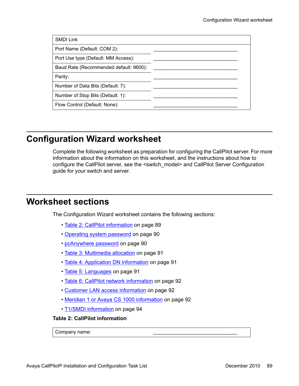<span id="page-88-0"></span>

| <b>SMDI Link</b>                       |
|----------------------------------------|
| Port Name (Default: COM 2):            |
| Port Use type (Default: MM Access):    |
| Baud Rate (Recommended default: 9600): |
| Parity:                                |
| Number of Data Bits (Default: 7):      |
| Number of Stop Bits (Default: 1):      |
| Flow Control (Default: None):          |

## **Configuration Wizard worksheet**

Complete the following worksheet as preparation for configuring the CallPilot server. For more information about the information on this worksheet, and the instructions about how to configure the CallPilot server, see the <switch\_model> and CallPilot Server Configuration guide for your switch and server.

## **Worksheet sections**

The Configuration Wizard worksheet contains the following sections:

- Table 2: CallPilot information on page 89
- [Operating](#page-89-0) system password on page 90
- [pcAnywhere](#page-89-0) password on page 90
- Table 3: [Multimedia](#page-90-0) allocation on page 91
- Table 4: Application DN [information](#page-90-0) on page 91
- Table 5: [Languages](#page-90-0) on page 91
- Table 6: CallPilot network [information](#page-91-0) on page 92
- Customer LAN access [information](#page-91-0) on page 92
- Meridian 1 or Avaya CS 1000 [information](#page-91-0) on page 92
- T1/SMDI [information](#page-93-0) on page 94

**Table 2: CallPilot information**

Company name: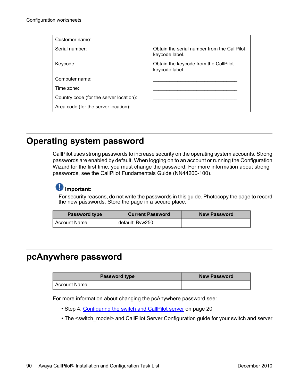<span id="page-89-0"></span>

| Customer name:                          |                                                               |
|-----------------------------------------|---------------------------------------------------------------|
| Serial number:                          | Obtain the serial number from the CallPilot<br>keycode label. |
| Keycode:                                | Obtain the keycode from the CallPilot<br>keycode label.       |
| Computer name:                          |                                                               |
| Time zone:                              |                                                               |
| Country code (for the server location): |                                                               |
| Area code (for the server location):    |                                                               |

## **Operating system password**

CallPilot uses strong passwords to increase security on the operating system accounts. Strong passwords are enabled by default. When logging on to an account or running the Configuration Wizard for the first time, you must change the password. For more information about strong passwords, see the CallPilot Fundamentals Guide (NN44200-100).

### **Important:**

For security reasons, do not write the passwords in this guide. Photocopy the page to record the new passwords. Store the page in a secure place.

| <b>Password type</b> | <b>Current Password</b> | <b>New Password</b> |
|----------------------|-------------------------|---------------------|
| Account Name         | default: Bvw250         |                     |

### **pcAnywhere password**

| <b>Password type</b> | <b>New Password</b> |
|----------------------|---------------------|
| Account Name         |                     |

For more information about changing the pcAnywhere password see:

- Step 4, [Configuring](#page-19-0) the switch and CallPilot server on page 20
- The <switch\_model> and CallPilot Server Configuration guide for your switch and server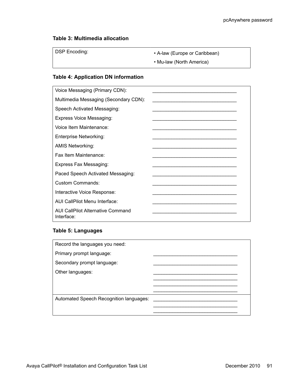#### <span id="page-90-0"></span>**Table 3: Multimedia allocation**

| DSP Encoding: | • A-law (Europe or Caribbean) |
|---------------|-------------------------------|
|               | • Mu-law (North America)      |

#### **Table 4: Application DN information**

| Voice Messaging (Primary CDN):                         |  |
|--------------------------------------------------------|--|
| Multimedia Messaging (Secondary CDN):                  |  |
| Speech Activated Messaging:                            |  |
| <b>Express Voice Messaging:</b>                        |  |
| Voice Item Maintenance:                                |  |
| <b>Enterprise Networking:</b>                          |  |
| AMIS Networking:                                       |  |
| Fax Item Maintenance:                                  |  |
| <b>Express Fax Messaging:</b>                          |  |
| Paced Speech Activated Messaging:                      |  |
| <b>Custom Commands:</b>                                |  |
| Interactive Voice Response:                            |  |
| <b>AUI CallPilot Menu Interface:</b>                   |  |
| <b>AUI CallPilot Alternative Command</b><br>Interface: |  |

#### **Table 5: Languages**

Record the languages you need: Primary prompt language: Secondary prompt language: Other languages:  $\overline{\phantom{a}}$  , which is a set of the set of the set of the set of the set of the set of the set of the set of the set of the set of the set of the set of the set of the set of the set of the set of the set of the set of th  $\overline{\phantom{a}}$  , which is a set of the set of the set of the set of the set of the set of the set of the set of the set of the set of the set of the set of the set of the set of the set of the set of the set of the set of th \_\_\_\_\_\_\_\_\_\_\_\_\_\_\_\_\_\_\_\_\_\_\_\_\_\_\_\_\_\_\_ Automated Speech Recognition languages: \_\_\_\_\_\_\_\_\_\_\_\_\_\_\_\_\_\_\_\_\_\_\_\_\_\_\_\_\_\_\_  $\mathcal{L}_\text{max} = \frac{1}{2} \sum_{i=1}^{n} \frac{1}{2} \sum_{i=1}^{n} \frac{1}{2} \sum_{i=1}^{n} \frac{1}{2} \sum_{i=1}^{n} \frac{1}{2} \sum_{i=1}^{n} \frac{1}{2} \sum_{i=1}^{n} \frac{1}{2} \sum_{i=1}^{n} \frac{1}{2} \sum_{i=1}^{n} \frac{1}{2} \sum_{i=1}^{n} \frac{1}{2} \sum_{i=1}^{n} \frac{1}{2} \sum_{i=1}^{n} \frac{1}{2} \sum_{i=1}^{n} \frac{1$ \_\_\_\_\_\_\_\_\_\_\_\_\_\_\_\_\_\_\_\_\_\_\_\_\_\_\_\_\_\_\_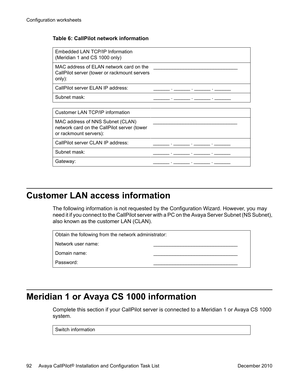#### <span id="page-91-0"></span>**Table 6: CallPilot network information**

| Embedded LAN TCP/IP Information<br>(Meridian 1 and CS 1000 only)                                  |                                                                                                                        |
|---------------------------------------------------------------------------------------------------|------------------------------------------------------------------------------------------------------------------------|
| MAC address of ELAN network card on the<br>CallPilot server (tower or rackmount servers<br>only): |                                                                                                                        |
| CallPilot server ELAN IP address:                                                                 | <u> 1989 - Andrea Maria de Arabel (h. 1989).</u>                                                                       |
| Subnet mask:                                                                                      | <u> Alexandro de Carlos de Carlos de Carlos de Carlos de Carlos de Carlos de Carlos de Carlos de Carlos de Carlos </u> |
|                                                                                                   |                                                                                                                        |
|                                                                                                   |                                                                                                                        |

| Customer LAN TCP/IP information                                                                           |                                                                                                                 |
|-----------------------------------------------------------------------------------------------------------|-----------------------------------------------------------------------------------------------------------------|
| MAC address of NNS Subnet (CLAN)<br>network card on the CallPilot server (tower<br>or rackmount servers): |                                                                                                                 |
| CallPilot server CLAN IP address:                                                                         | <u> 1989 - Andrea State Barbara, martin de la conte</u>                                                         |
| Subnet mask:                                                                                              |                                                                                                                 |
| Gateway:                                                                                                  | the contract of the contract of the contract of the contract of the contract of the contract of the contract of |

## **Customer LAN access information**

The following information is not requested by the Configuration Wizard. However, you may need it if you connect to the CallPilot server with a PC on the Avaya Server Subnet (NS Subnet), also known as the customer LAN (CLAN).

| Obtain the following from the network administrator: |  |
|------------------------------------------------------|--|
| Network user name:                                   |  |
| Domain name:                                         |  |
| Password:                                            |  |

## **Meridian 1 or Avaya CS 1000 information**

Complete this section if your CallPilot server is connected to a Meridian 1 or Avaya CS 1000 system.

Switch information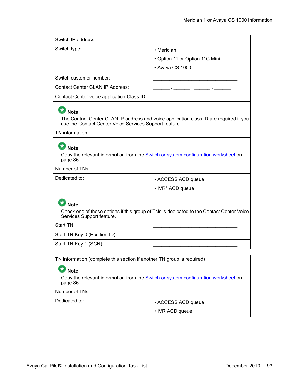| Switch IP address:                                                                                                                                                                       |                                                                                          |
|------------------------------------------------------------------------------------------------------------------------------------------------------------------------------------------|------------------------------------------------------------------------------------------|
| Switch type:                                                                                                                                                                             | • Meridian 1                                                                             |
|                                                                                                                                                                                          | • Option 11 or Option 11C Mini                                                           |
|                                                                                                                                                                                          | • Avaya CS 1000                                                                          |
| Switch customer number:                                                                                                                                                                  |                                                                                          |
| <b>Contact Center CLAN IP Address:</b>                                                                                                                                                   | <u>a shekara ta 1999, a shekara ta 1999 a tsar</u>                                       |
| Contact Center voice application Class ID:                                                                                                                                               |                                                                                          |
| Note:<br>use the Contact Center Voice Services Support feature.                                                                                                                          | The Contact Center CLAN IP address and voice application class ID are required if you    |
| TN information                                                                                                                                                                           |                                                                                          |
| Note:<br>Copy the relevant information from the <b>Switch or system configuration worksheet</b> on<br>page 86.                                                                           |                                                                                          |
| Number of TNs:                                                                                                                                                                           |                                                                                          |
| Dedicated to:                                                                                                                                                                            | • ACCESS ACD queue                                                                       |
|                                                                                                                                                                                          | • IVR* ACD queue                                                                         |
| Note:<br>Services Support feature.                                                                                                                                                       | Check one of these options if this group of TNs is dedicated to the Contact Center Voice |
| Start TN:                                                                                                                                                                                |                                                                                          |
| Start TN Key 0 (Position ID):                                                                                                                                                            |                                                                                          |
| Start TN Key 1 (SCN):                                                                                                                                                                    |                                                                                          |
| TN information (complete this section if another TN group is required)<br>Note:<br>Copy the relevant information from the <b>Switch or system configuration worksheet</b> on<br>page 86. |                                                                                          |
| Number of TNs:                                                                                                                                                                           |                                                                                          |
| Dedicated to:                                                                                                                                                                            | • ACCESS ACD queue                                                                       |
|                                                                                                                                                                                          | • IVR ACD queue                                                                          |
|                                                                                                                                                                                          |                                                                                          |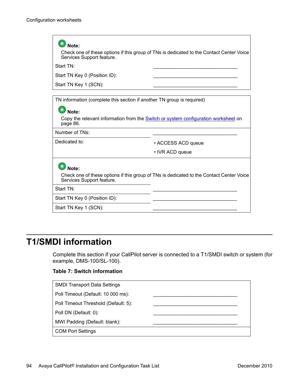<span id="page-93-0"></span>

| Note:<br>Services Support feature.                                     | Check one of these options if this group of TNs is dedicated to the Contact Center Voice |
|------------------------------------------------------------------------|------------------------------------------------------------------------------------------|
| Start TN:                                                              |                                                                                          |
| Start TN Key 0 (Position ID):                                          |                                                                                          |
| Start TN Key 1 (SCN):                                                  |                                                                                          |
|                                                                        |                                                                                          |
| TN information (complete this section if another TN group is required) |                                                                                          |
| Note:                                                                  |                                                                                          |
| page 86.                                                               | Copy the relevant information from the Switch or system configuration worksheet on       |
| Number of TNs:                                                         |                                                                                          |
| Dedicated to:                                                          | • ACCESS ACD queue                                                                       |
|                                                                        | • IVR ACD queue                                                                          |
| Note:                                                                  |                                                                                          |
| Services Support feature.                                              | Check one of these options if this group of TNs is dedicated to the Contact Center Voice |
| Start TN:                                                              |                                                                                          |
| Start TN Key 0 (Position ID):                                          |                                                                                          |
| Start TN Key 1 (SCN):                                                  |                                                                                          |

## **T1/SMDI information**

Complete this section if your CallPilot server is connected to a T1/SMDI switch or system (for example, DMS-100/SL-100).

#### **Table 7: Switch information**

| <b>SMDI Transport Data Settings</b>  |  |
|--------------------------------------|--|
| Poll Timeout (Default: 10 000 ms):   |  |
| Poll Timeout Threshold (Default: 5): |  |
| Poll DN (Default: 0):                |  |
| MWI Padding (Default: blank):        |  |
| <b>COM Port Settings</b>             |  |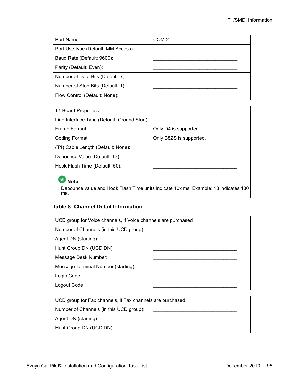| Port Name                           | COM 2 |
|-------------------------------------|-------|
| Port Use type (Default: MM Access): |       |
| Baud Rate (Default: 9600):          |       |
| Parity (Default: Even):             |       |
| Number of Data Bits (Default: 7):   |       |
| Number of Stop Bits (Default: 1):   |       |
| Flow Control (Default: None):       |       |

| <b>T1 Board Properties</b>                   |                                                                                     |
|----------------------------------------------|-------------------------------------------------------------------------------------|
| Line Interface Type (Default: Ground Start): |                                                                                     |
| Frame Format:                                | Only D4 is supported.                                                               |
| Coding Format:                               | Only B8ZS is supported.                                                             |
| (T1) Cable Length (Default: None):           |                                                                                     |
| Debounce Value (Default: 13):                |                                                                                     |
| Hook Flash Time (Default: 50):               |                                                                                     |
| Note:<br>ms.                                 | Debounce value and Hook Flash Time units indicate 10x ms. Example: 13 indicates 130 |

#### **Table 8: Channel Detail Information**

| UCD group for Voice channels, if Voice channels are purchased |  |
|---------------------------------------------------------------|--|
| Number of Channels (in this UCD group):                       |  |
| Agent DN (starting):                                          |  |
| Hunt Group DN (UCD DN):                                       |  |
| Message Desk Number:                                          |  |
| Message Terminal Number (starting):                           |  |
| Login Code:                                                   |  |
| Logout Code:                                                  |  |
|                                                               |  |
| UCD group for Fax channels, if Fax channels are purchased     |  |

Number of Channels (in this UCD group): \_\_\_\_\_\_\_\_\_\_\_\_\_\_\_\_\_\_\_\_\_\_\_\_\_\_\_\_\_\_\_ Agent DN (starting): Hunt Group DN (UCD DN):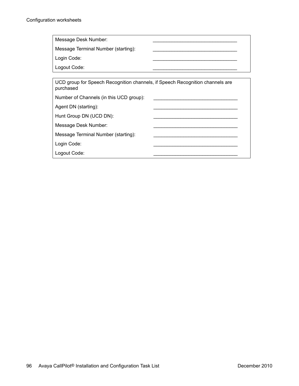| Message Desk Number:                                                                       |  |
|--------------------------------------------------------------------------------------------|--|
| Message Terminal Number (starting):                                                        |  |
| Login Code:                                                                                |  |
| Logout Code:                                                                               |  |
|                                                                                            |  |
| UCD group for Speech Recognition channels, if Speech Recognition channels are<br>purchased |  |
| Number of Channels (in this UCD group):                                                    |  |
| Agent DN (starting):                                                                       |  |
| Hunt Group DN (UCD DN):                                                                    |  |
| Message Desk Number:                                                                       |  |
| Message Terminal Number (starting):                                                        |  |
| Login Code:                                                                                |  |
| Logout Code:                                                                               |  |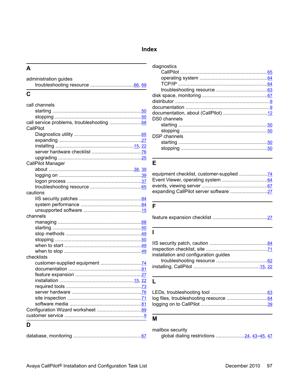### **Index**

### **A**

| administration guides |  |
|-----------------------|--|
|                       |  |

### **C**

| call channels            |  |
|--------------------------|--|
|                          |  |
|                          |  |
|                          |  |
| CallPilot                |  |
|                          |  |
|                          |  |
|                          |  |
|                          |  |
|                          |  |
| <b>CallPilot Manager</b> |  |
|                          |  |
|                          |  |
|                          |  |
|                          |  |
| cautions                 |  |
|                          |  |
|                          |  |
|                          |  |
| channels                 |  |
|                          |  |
|                          |  |
|                          |  |
|                          |  |
|                          |  |
|                          |  |
| checklists               |  |
|                          |  |
|                          |  |
|                          |  |
|                          |  |
|                          |  |
|                          |  |
|                          |  |
|                          |  |
|                          |  |
|                          |  |
| D                        |  |
|                          |  |
|                          |  |

| diagnostics  |  |
|--------------|--|
|              |  |
|              |  |
|              |  |
|              |  |
|              |  |
|              |  |
|              |  |
|              |  |
| DS0 channels |  |
|              |  |
|              |  |
| DSP channels |  |
|              |  |
|              |  |
|              |  |

### **E**

### **F**

### **I**

| installation and configuration guides |  |
|---------------------------------------|--|
|                                       |  |
|                                       |  |

#### **L**

#### **M**

| mailbox security |  |
|------------------|--|
|                  |  |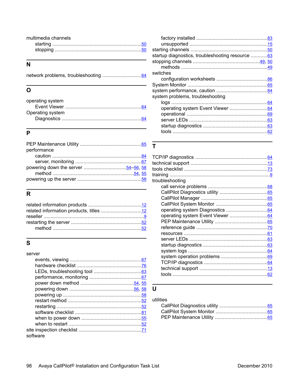| multimedia channels |
|---------------------|
|                     |
|                     |

### **N**

|--|--|--|

#### **O**

| operating system |  |
|------------------|--|
|                  |  |
| Operating system |  |
|                  |  |

#### **P**

| performance |  |
|-------------|--|
|             |  |
|             |  |
|             |  |
|             |  |
|             |  |

### **R**

### **S**

#### server

| software |  |
|----------|--|

| startup diagnostics, troubleshooting resource  63 |  |
|---------------------------------------------------|--|
|                                                   |  |
|                                                   |  |
| switches                                          |  |
|                                                   |  |
|                                                   |  |
|                                                   |  |
| system problems, troubleshooting                  |  |
|                                                   |  |
|                                                   |  |
|                                                   |  |
|                                                   |  |
|                                                   |  |
|                                                   |  |
|                                                   |  |

### **T**

| troubleshooting |  |
|-----------------|--|
|                 |  |
|                 |  |
|                 |  |
|                 |  |
|                 |  |
|                 |  |
|                 |  |
|                 |  |
|                 |  |
|                 |  |
|                 |  |
|                 |  |
|                 |  |
|                 |  |
|                 |  |
|                 |  |
|                 |  |
|                 |  |

### **U**

#### utilities CallPilot Diagnostics utility ...................................[65](#page-64-0) CallPilot System Monitor ......................................[65](#page-64-0) PEP Maintenance Utility ......................................[65](#page-64-0)